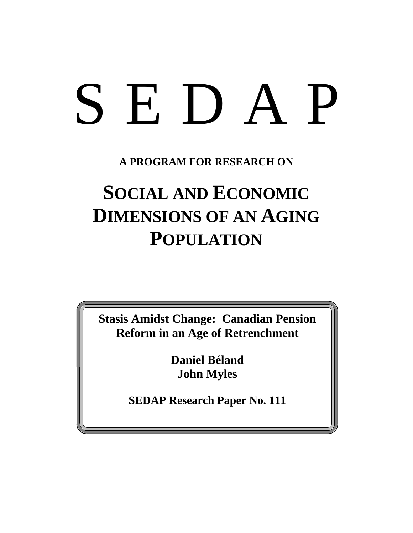# SEDAP

**A PROGRAM FOR RESEARCH ON**

# **SOCIAL AND ECONOMIC DIMENSIONS OF AN AGING POPULATION**

**Stasis Amidst Change: Canadian Pension Reform in an Age of Retrenchment**

> **Daniel Béland John Myles**

**SEDAP Research Paper No. 111**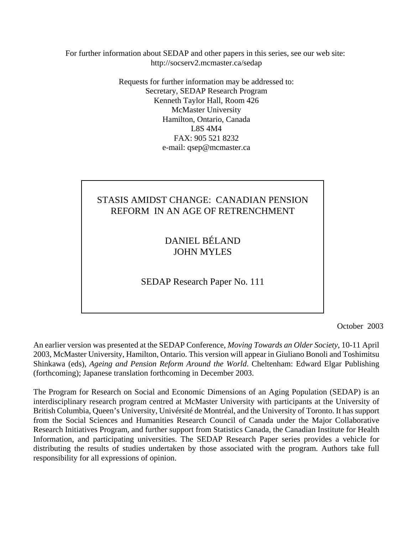For further information about SEDAP and other papers in this series, see our web site: http://socserv2.mcmaster.ca/sedap

> Requests for further information may be addressed to: Secretary, SEDAP Research Program Kenneth Taylor Hall, Room 426 McMaster University Hamilton, Ontario, Canada L8S 4M4 FAX: 905 521 8232 e-mail: qsep@mcmaster.ca

# STASIS AMIDST CHANGE: CANADIAN PENSION REFORM IN AN AGE OF RETRENCHMENT

DANIEL BÉLAND JOHN MYLES

SEDAP Research Paper No. 111

October 2003

An earlier version was presented at the SEDAP Conference, *Moving Towards an Older Society*, 10-11 April 2003, McMaster University, Hamilton, Ontario. This version will appear in Giuliano Bonoli and Toshimitsu Shinkawa (eds), *Ageing and Pension Reform Around the World*. Cheltenham: Edward Elgar Publishing (forthcoming); Japanese translation forthcoming in December 2003.

The Program for Research on Social and Economic Dimensions of an Aging Population (SEDAP) is an interdisciplinary research program centred at McMaster University with participants at the University of British Columbia, Queen's University, Univérsité de Montréal, and the University of Toronto. It has support from the Social Sciences and Humanities Research Council of Canada under the Major Collaborative Research Initiatives Program, and further support from Statistics Canada, the Canadian Institute for Health Information, and participating universities. The SEDAP Research Paper series provides a vehicle for distributing the results of studies undertaken by those associated with the program. Authors take full responsibility for all expressions of opinion.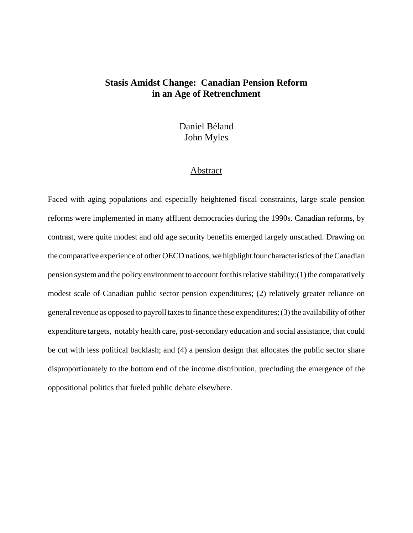# **Stasis Amidst Change: Canadian Pension Reform in an Age of Retrenchment**

Daniel Béland John Myles

#### Abstract

Faced with aging populations and especially heightened fiscal constraints, large scale pension reforms were implemented in many affluent democracies during the 1990s. Canadian reforms, by contrast, were quite modest and old age security benefits emerged largely unscathed. Drawing on the comparative experience of other OECD nations, we highlight four characteristics of the Canadian pension system and the policy environment to account for this relative stability:(1) the comparatively modest scale of Canadian public sector pension expenditures; (2) relatively greater reliance on general revenue as opposed to payroll taxes to finance these expenditures; (3) the availability of other expenditure targets, notably health care, post-secondary education and social assistance, that could be cut with less political backlash; and (4) a pension design that allocates the public sector share disproportionately to the bottom end of the income distribution, precluding the emergence of the oppositional politics that fueled public debate elsewhere.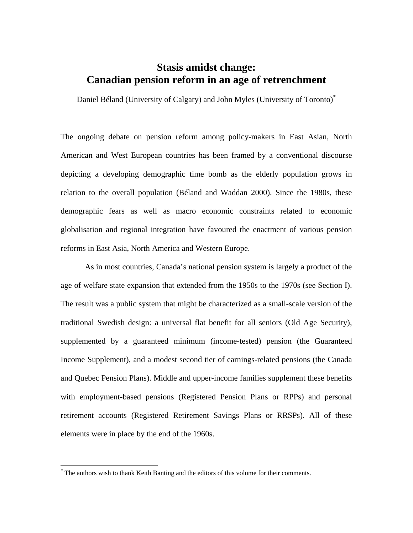# **Stasis amidst change: Canadian pension reform in an age of retrenchment**

Daniel Béland (University of Calgary) and John Myles (University of Toronto)\*

The ongoing debate on pension reform among policy-makers in East Asian, North American and West European countries has been framed by a conventional discourse depicting a developing demographic time bomb as the elderly population grows in relation to the overall population (Béland and Waddan 2000). Since the 1980s, these demographic fears as well as macro economic constraints related to economic globalisation and regional integration have favoured the enactment of various pension reforms in East Asia, North America and Western Europe.

 As in most countries, Canada's national pension system is largely a product of the age of welfare state expansion that extended from the 1950s to the 1970s (see Section I). The result was a public system that might be characterized as a small-scale version of the traditional Swedish design: a universal flat benefit for all seniors (Old Age Security), supplemented by a guaranteed minimum (income-tested) pension (the Guaranteed Income Supplement), and a modest second tier of earnings-related pensions (the Canada and Quebec Pension Plans). Middle and upper-income families supplement these benefits with employment-based pensions (Registered Pension Plans or RPPs) and personal retirement accounts (Registered Retirement Savings Plans or RRSPs). All of these elements were in place by the end of the 1960s.

1

<sup>\*</sup> The authors wish to thank Keith Banting and the editors of this volume for their comments.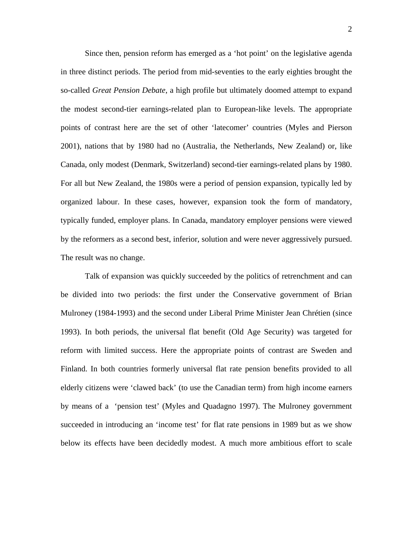Since then, pension reform has emerged as a 'hot point' on the legislative agenda in three distinct periods. The period from mid-seventies to the early eighties brought the so-called *Great Pension Debate*, a high profile but ultimately doomed attempt to expand the modest second-tier earnings-related plan to European-like levels. The appropriate points of contrast here are the set of other 'latecomer' countries (Myles and Pierson 2001), nations that by 1980 had no (Australia, the Netherlands, New Zealand) or, like Canada, only modest (Denmark, Switzerland) second-tier earnings-related plans by 1980. For all but New Zealand, the 1980s were a period of pension expansion, typically led by organized labour. In these cases, however, expansion took the form of mandatory, typically funded, employer plans. In Canada, mandatory employer pensions were viewed by the reformers as a second best, inferior, solution and were never aggressively pursued. The result was no change.

 Talk of expansion was quickly succeeded by the politics of retrenchment and can be divided into two periods: the first under the Conservative government of Brian Mulroney (1984-1993) and the second under Liberal Prime Minister Jean Chrétien (since 1993). In both periods, the universal flat benefit (Old Age Security) was targeted for reform with limited success. Here the appropriate points of contrast are Sweden and Finland. In both countries formerly universal flat rate pension benefits provided to all elderly citizens were 'clawed back' (to use the Canadian term) from high income earners by means of a 'pension test' (Myles and Quadagno 1997). The Mulroney government succeeded in introducing an 'income test' for flat rate pensions in 1989 but as we show below its effects have been decidedly modest. A much more ambitious effort to scale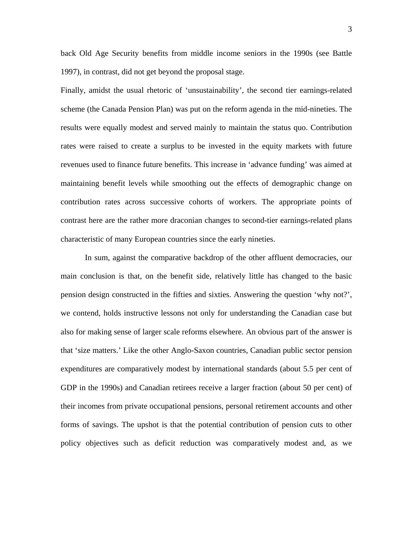back Old Age Security benefits from middle income seniors in the 1990s (see Battle 1997), in contrast, did not get beyond the proposal stage.

Finally, amidst the usual rhetoric of 'unsustainability', the second tier earnings-related scheme (the Canada Pension Plan) was put on the reform agenda in the mid-nineties. The results were equally modest and served mainly to maintain the status quo. Contribution rates were raised to create a surplus to be invested in the equity markets with future revenues used to finance future benefits. This increase in 'advance funding' was aimed at maintaining benefit levels while smoothing out the effects of demographic change on contribution rates across successive cohorts of workers. The appropriate points of contrast here are the rather more draconian changes to second-tier earnings-related plans characteristic of many European countries since the early nineties.

 In sum, against the comparative backdrop of the other affluent democracies, our main conclusion is that, on the benefit side, relatively little has changed to the basic pension design constructed in the fifties and sixties. Answering the question 'why not?', we contend, holds instructive lessons not only for understanding the Canadian case but also for making sense of larger scale reforms elsewhere. An obvious part of the answer is that 'size matters.' Like the other Anglo-Saxon countries, Canadian public sector pension expenditures are comparatively modest by international standards (about 5.5 per cent of GDP in the 1990s) and Canadian retirees receive a larger fraction (about 50 per cent) of their incomes from private occupational pensions, personal retirement accounts and other forms of savings. The upshot is that the potential contribution of pension cuts to other policy objectives such as deficit reduction was comparatively modest and, as we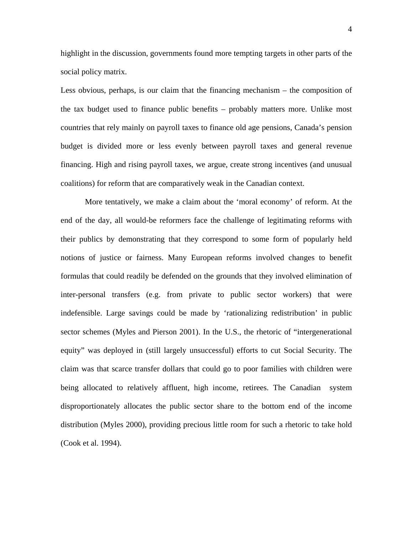highlight in the discussion, governments found more tempting targets in other parts of the social policy matrix.

Less obvious, perhaps, is our claim that the financing mechanism – the composition of the tax budget used to finance public benefits – probably matters more. Unlike most countries that rely mainly on payroll taxes to finance old age pensions, Canada's pension budget is divided more or less evenly between payroll taxes and general revenue financing. High and rising payroll taxes, we argue, create strong incentives (and unusual coalitions) for reform that are comparatively weak in the Canadian context.

 More tentatively, we make a claim about the 'moral economy' of reform. At the end of the day, all would-be reformers face the challenge of legitimating reforms with their publics by demonstrating that they correspond to some form of popularly held notions of justice or fairness. Many European reforms involved changes to benefit formulas that could readily be defended on the grounds that they involved elimination of inter-personal transfers (e.g. from private to public sector workers) that were indefensible. Large savings could be made by 'rationalizing redistribution' in public sector schemes (Myles and Pierson 2001). In the U.S., the rhetoric of "intergenerational equity" was deployed in (still largely unsuccessful) efforts to cut Social Security. The claim was that scarce transfer dollars that could go to poor families with children were being allocated to relatively affluent, high income, retirees. The Canadian system disproportionately allocates the public sector share to the bottom end of the income distribution (Myles 2000), providing precious little room for such a rhetoric to take hold (Cook et al. 1994).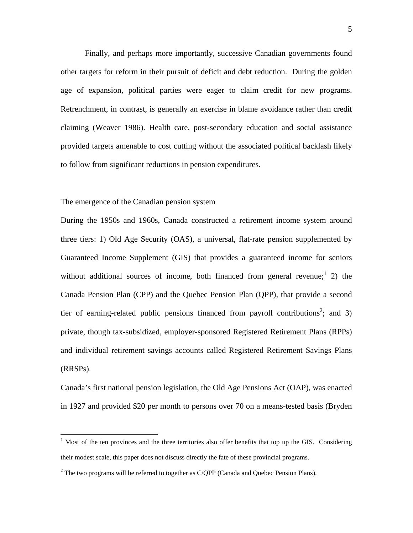Finally, and perhaps more importantly, successive Canadian governments found other targets for reform in their pursuit of deficit and debt reduction. During the golden age of expansion, political parties were eager to claim credit for new programs. Retrenchment, in contrast, is generally an exercise in blame avoidance rather than credit claiming (Weaver 1986). Health care, post-secondary education and social assistance provided targets amenable to cost cutting without the associated political backlash likely to follow from significant reductions in pension expenditures.

#### The emergence of the Canadian pension system

1

During the 1950s and 1960s, Canada constructed a retirement income system around three tiers: 1) Old Age Security (OAS), a universal, flat-rate pension supplemented by Guaranteed Income Supplement (GIS) that provides a guaranteed income for seniors without additional sources of income, both financed from general revenue; 2) the Canada Pension Plan (CPP) and the Quebec Pension Plan (QPP), that provide a second tier of earning-related public pensions financed from payroll contributions<sup>2</sup>; and 3) private, though tax-subsidized, employer-sponsored Registered Retirement Plans (RPPs) and individual retirement savings accounts called Registered Retirement Savings Plans (RRSPs).

Canada's first national pension legislation, the Old Age Pensions Act (OAP), was enacted in 1927 and provided \$20 per month to persons over 70 on a means-tested basis (Bryden

<sup>&</sup>lt;sup>1</sup> Most of the ten provinces and the three territories also offer benefits that top up the GIS. Considering their modest scale, this paper does not discuss directly the fate of these provincial programs.

<sup>&</sup>lt;sup>2</sup> The two programs will be referred to together as C/QPP (Canada and Quebec Pension Plans).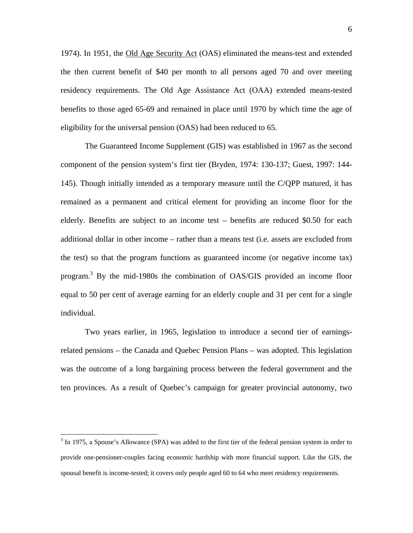1974). In 1951, the Old Age Security Act (OAS) eliminated the means-test and extended the then current benefit of \$40 per month to all persons aged 70 and over meeting residency requirements. The Old Age Assistance Act (OAA) extended means-tested benefits to those aged 65-69 and remained in place until 1970 by which time the age of eligibility for the universal pension (OAS) had been reduced to 65.

The Guaranteed Income Supplement (GIS) was established in 1967 as the second component of the pension system's first tier (Bryden, 1974: 130-137; Guest, 1997: 144- 145). Though initially intended as a temporary measure until the C/QPP matured, it has remained as a permanent and critical element for providing an income floor for the elderly. Benefits are subject to an income test – benefits are reduced \$0.50 for each additional dollar in other income – rather than a means test (i.e. assets are excluded from the test) so that the program functions as guaranteed income (or negative income tax) program.<sup>3</sup> By the mid-1980s the combination of OAS/GIS provided an income floor equal to 50 per cent of average earning for an elderly couple and 31 per cent for a single individual.

Two years earlier, in 1965, legislation to introduce a second tier of earningsrelated pensions – the Canada and Quebec Pension Plans – was adopted. This legislation was the outcome of a long bargaining process between the federal government and the ten provinces. As a result of Quebec's campaign for greater provincial autonomy, two

1

 $3$  In 1975, a Spouse's Allowance (SPA) was added to the first tier of the federal pension system in order to provide one-pensioner-couples facing economic hardship with more financial support. Like the GIS, the spousal benefit is income-tested; it covers only people aged 60 to 64 who meet residency requirements.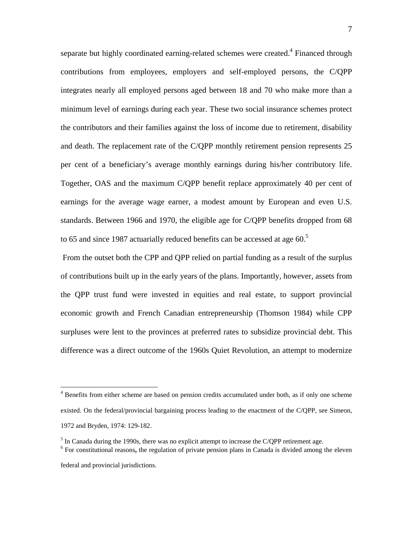separate but highly coordinated earning-related schemes were created.<sup>4</sup> Financed through contributions from employees, employers and self-employed persons, the C/QPP integrates nearly all employed persons aged between 18 and 70 who make more than a minimum level of earnings during each year. These two social insurance schemes protect the contributors and their families against the loss of income due to retirement, disability and death. The replacement rate of the C/QPP monthly retirement pension represents 25 per cent of a beneficiary's average monthly earnings during his/her contributory life. Together, OAS and the maximum C/QPP benefit replace approximately 40 per cent of earnings for the average wage earner, a modest amount by European and even U.S. standards. Between 1966 and 1970, the eligible age for C/QPP benefits dropped from 68 to 65 and since 1987 actuarially reduced benefits can be accessed at age 60.<sup>5</sup>

 From the outset both the CPP and QPP relied on partial funding as a result of the surplus of contributions built up in the early years of the plans. Importantly, however, assets from the QPP trust fund were invested in equities and real estate, to support provincial economic growth and French Canadian entrepreneurship (Thomson 1984) while CPP surpluses were lent to the provinces at preferred rates to subsidize provincial debt. This difference was a direct outcome of the 1960s Quiet Revolution, an attempt to modernize

 $\overline{a}$ 

<sup>&</sup>lt;sup>4</sup> Benefits from either scheme are based on pension credits accumulated under both, as if only one scheme existed. On the federal/provincial bargaining process leading to the enactment of the C/QPP, see Simeon, 1972 and Bryden, 1974: 129-182.

<sup>&</sup>lt;sup>5</sup> In Canada during the 1990s, there was no explicit attempt to increase the C/QPP retirement age.

<sup>&</sup>lt;sup>6</sup> For constitutional reasons, the regulation of private pension plans in Canada is divided among the eleven federal and provincial jurisdictions.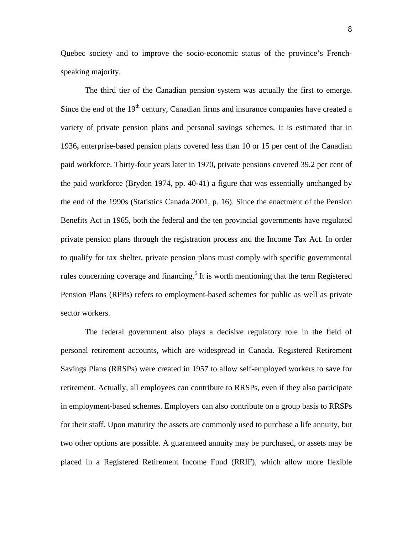Quebec society and to improve the socio-economic status of the province's Frenchspeaking majority.

The third tier of the Canadian pension system was actually the first to emerge. Since the end of the  $19<sup>th</sup>$  century, Canadian firms and insurance companies have created a variety of private pension plans and personal savings schemes. It is estimated that in 1936**,** enterprise-based pension plans covered less than 10 or 15 per cent of the Canadian paid workforce. Thirty-four years later in 1970, private pensions covered 39.2 per cent of the paid workforce (Bryden 1974, pp. 40-41) a figure that was essentially unchanged by the end of the 1990s (Statistics Canada 2001, p. 16). Since the enactment of the Pension Benefits Act in 1965, both the federal and the ten provincial governments have regulated private pension plans through the registration process and the Income Tax Act. In order to qualify for tax shelter, private pension plans must comply with specific governmental rules concerning coverage and financing.<sup>6</sup> It is worth mentioning that the term Registered Pension Plans (RPPs) refers to employment-based schemes for public as well as private sector workers.

 The federal government also plays a decisive regulatory role in the field of personal retirement accounts, which are widespread in Canada. Registered Retirement Savings Plans (RRSPs) were created in 1957 to allow self-employed workers to save for retirement. Actually, all employees can contribute to RRSPs, even if they also participate in employment-based schemes. Employers can also contribute on a group basis to RRSPs for their staff. Upon maturity the assets are commonly used to purchase a life annuity, but two other options are possible. A guaranteed annuity may be purchased, or assets may be placed in a Registered Retirement Income Fund (RRIF), which allow more flexible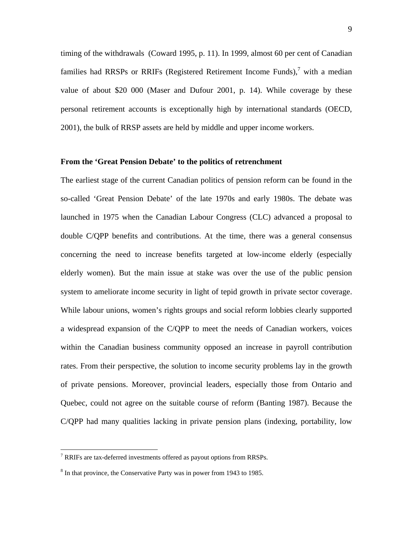timing of the withdrawals (Coward 1995, p. 11). In 1999, almost 60 per cent of Canadian families had RRSPs or RRIFs (Registered Retirement Income Funds), $\frac{7}{7}$  with a median value of about \$20 000 (Maser and Dufour 2001, p. 14). While coverage by these personal retirement accounts is exceptionally high by international standards (OECD, 2001), the bulk of RRSP assets are held by middle and upper income workers.

#### **From the 'Great Pension Debate' to the politics of retrenchment**

The earliest stage of the current Canadian politics of pension reform can be found in the so-called 'Great Pension Debate' of the late 1970s and early 1980s. The debate was launched in 1975 when the Canadian Labour Congress (CLC) advanced a proposal to double C/QPP benefits and contributions. At the time, there was a general consensus concerning the need to increase benefits targeted at low-income elderly (especially elderly women). But the main issue at stake was over the use of the public pension system to ameliorate income security in light of tepid growth in private sector coverage. While labour unions, women's rights groups and social reform lobbies clearly supported a widespread expansion of the C/QPP to meet the needs of Canadian workers, voices within the Canadian business community opposed an increase in payroll contribution rates. From their perspective, the solution to income security problems lay in the growth of private pensions. Moreover, provincial leaders, especially those from Ontario and Quebec, could not agree on the suitable course of reform (Banting 1987). Because the C/QPP had many qualities lacking in private pension plans (indexing, portability, low

<u>.</u>

 $7$  RRIFs are tax-deferred investments offered as payout options from RRSPs.

 $8 \text{ In that province, the Conservative Party was in power from 1943 to 1985.}$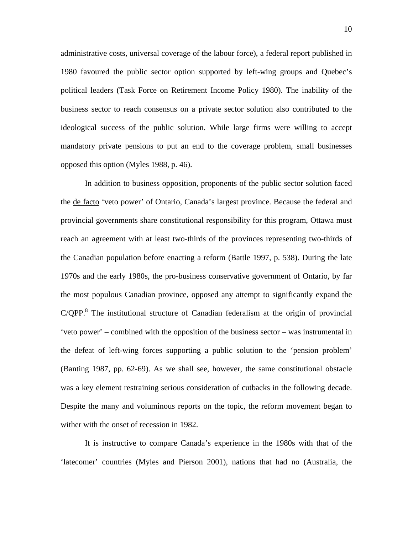administrative costs, universal coverage of the labour force), a federal report published in 1980 favoured the public sector option supported by left-wing groups and Quebec's political leaders (Task Force on Retirement Income Policy 1980). The inability of the business sector to reach consensus on a private sector solution also contributed to the ideological success of the public solution. While large firms were willing to accept mandatory private pensions to put an end to the coverage problem, small businesses opposed this option (Myles 1988, p. 46).

 In addition to business opposition, proponents of the public sector solution faced the de facto 'veto power' of Ontario, Canada's largest province. Because the federal and provincial governments share constitutional responsibility for this program, Ottawa must reach an agreement with at least two-thirds of the provinces representing two-thirds of the Canadian population before enacting a reform (Battle 1997, p. 538). During the late 1970s and the early 1980s, the pro-business conservative government of Ontario, by far the most populous Canadian province, opposed any attempt to significantly expand the  $C/QPP$ <sup>8</sup>. The institutional structure of Canadian federalism at the origin of provincial 'veto power' – combined with the opposition of the business sector – was instrumental in the defeat of left-wing forces supporting a public solution to the 'pension problem' (Banting 1987, pp. 62-69). As we shall see, however, the same constitutional obstacle was a key element restraining serious consideration of cutbacks in the following decade. Despite the many and voluminous reports on the topic, the reform movement began to wither with the onset of recession in 1982.

 It is instructive to compare Canada's experience in the 1980s with that of the 'latecomer' countries (Myles and Pierson 2001), nations that had no (Australia, the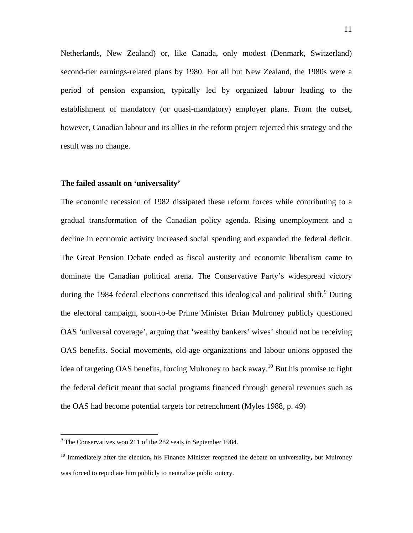Netherlands, New Zealand) or, like Canada, only modest (Denmark, Switzerland) second-tier earnings-related plans by 1980. For all but New Zealand, the 1980s were a period of pension expansion, typically led by organized labour leading to the establishment of mandatory (or quasi-mandatory) employer plans. From the outset, however, Canadian labour and its allies in the reform project rejected this strategy and the result was no change.

#### **The failed assault on 'universality'**

The economic recession of 1982 dissipated these reform forces while contributing to a gradual transformation of the Canadian policy agenda. Rising unemployment and a decline in economic activity increased social spending and expanded the federal deficit. The Great Pension Debate ended as fiscal austerity and economic liberalism came to dominate the Canadian political arena. The Conservative Party's widespread victory during the 1984 federal elections concretised this ideological and political shift. <sup>9</sup> During the electoral campaign, soon-to-be Prime Minister Brian Mulroney publicly questioned OAS 'universal coverage', arguing that 'wealthy bankers' wives' should not be receiving OAS benefits. Social movements, old-age organizations and labour unions opposed the idea of targeting OAS benefits, forcing Mulroney to back away.<sup>10</sup> But his promise to fight the federal deficit meant that social programs financed through general revenues such as the OAS had become potential targets for retrenchment (Myles 1988, p. 49)

<sup>&</sup>lt;sup>9</sup> The Conservatives won 211 of the 282 seats in September 1984.

<sup>10</sup> Immediately after the election**,** his Finance Minister reopened the debate on universality**,** but Mulroney was forced to repudiate him publicly to neutralize public outcry.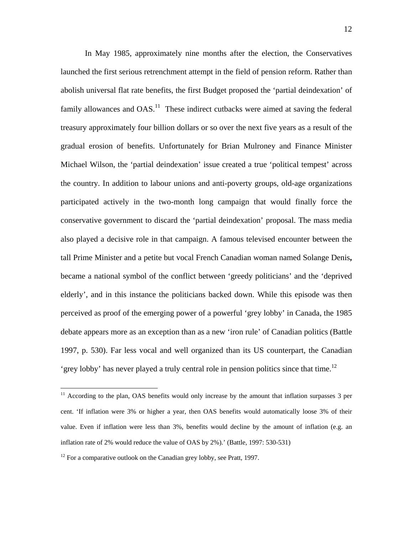In May 1985, approximately nine months after the election, the Conservatives launched the first serious retrenchment attempt in the field of pension reform. Rather than abolish universal flat rate benefits, the first Budget proposed the 'partial deindexation' of family allowances and  $OAS$ <sup>11</sup>. These indirect cutbacks were aimed at saving the federal treasury approximately four billion dollars or so over the next five years as a result of the gradual erosion of benefits. Unfortunately for Brian Mulroney and Finance Minister Michael Wilson, the 'partial deindexation' issue created a true 'political tempest' across the country. In addition to labour unions and anti-poverty groups, old-age organizations participated actively in the two-month long campaign that would finally force the conservative government to discard the 'partial deindexation' proposal. The mass media also played a decisive role in that campaign. A famous televised encounter between the tall Prime Minister and a petite but vocal French Canadian woman named Solange Denis**,** became a national symbol of the conflict between 'greedy politicians' and the 'deprived elderly', and in this instance the politicians backed down. While this episode was then perceived as proof of the emerging power of a powerful 'grey lobby' in Canada, the 1985 debate appears more as an exception than as a new 'iron rule' of Canadian politics (Battle 1997, p. 530). Far less vocal and well organized than its US counterpart, the Canadian 'grey lobby' has never played a truly central role in pension politics since that time.<sup>12</sup>

1

<sup>&</sup>lt;sup>11</sup> According to the plan, OAS benefits would only increase by the amount that inflation surpasses 3 per cent. 'If inflation were 3% or higher a year, then OAS benefits would automatically loose 3% of their value. Even if inflation were less than 3%, benefits would decline by the amount of inflation (e.g. an inflation rate of 2% would reduce the value of OAS by 2%).' (Battle, 1997: 530-531)

 $12$  For a comparative outlook on the Canadian grey lobby, see Pratt, 1997.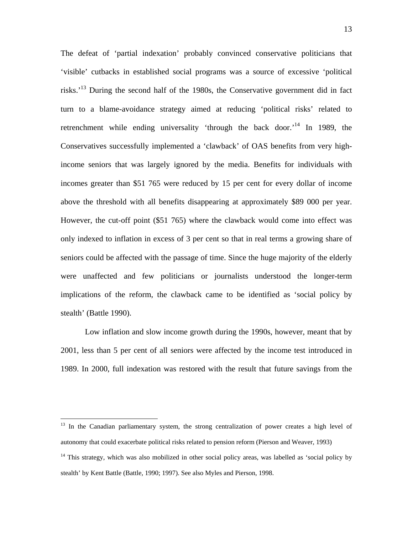The defeat of 'partial indexation' probably convinced conservative politicians that 'visible' cutbacks in established social programs was a source of excessive 'political risks.'13 During the second half of the 1980s, the Conservative government did in fact turn to a blame-avoidance strategy aimed at reducing 'political risks' related to retrenchment while ending universality 'through the back door.<sup>14</sup> In 1989, the Conservatives successfully implemented a 'clawback' of OAS benefits from very highincome seniors that was largely ignored by the media. Benefits for individuals with incomes greater than \$51 765 were reduced by 15 per cent for every dollar of income above the threshold with all benefits disappearing at approximately \$89 000 per year. However, the cut-off point (\$51 765) where the clawback would come into effect was only indexed to inflation in excess of 3 per cent so that in real terms a growing share of seniors could be affected with the passage of time. Since the huge majority of the elderly were unaffected and few politicians or journalists understood the longer-term implications of the reform, the clawback came to be identified as 'social policy by stealth' (Battle 1990).

Low inflation and slow income growth during the 1990s, however, meant that by 2001, less than 5 per cent of all seniors were affected by the income test introduced in 1989. In 2000, full indexation was restored with the result that future savings from the

 $\overline{a}$ 

<sup>&</sup>lt;sup>13</sup> In the Canadian parliamentary system, the strong centralization of power creates a high level of autonomy that could exacerbate political risks related to pension reform (Pierson and Weaver, 1993)

 $14$  This strategy, which was also mobilized in other social policy areas, was labelled as 'social policy by stealth' by Kent Battle (Battle, 1990; 1997). See also Myles and Pierson, 1998.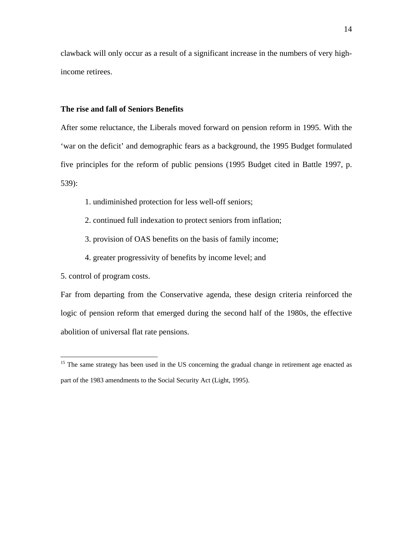clawback will only occur as a result of a significant increase in the numbers of very highincome retirees.

#### **The rise and fall of Seniors Benefits**

After some reluctance, the Liberals moved forward on pension reform in 1995. With the 'war on the deficit' and demographic fears as a background, the 1995 Budget formulated five principles for the reform of public pensions (1995 Budget cited in Battle 1997, p. 539):

- 1. undiminished protection for less well-off seniors;
- 2. continued full indexation to protect seniors from inflation;
- 3. provision of OAS benefits on the basis of family income;
- 4. greater progressivity of benefits by income level; and

5. control of program costs.

1

Far from departing from the Conservative agenda, these design criteria reinforced the logic of pension reform that emerged during the second half of the 1980s, the effective abolition of universal flat rate pensions.

<sup>&</sup>lt;sup>15</sup> The same strategy has been used in the US concerning the gradual change in retirement age enacted as part of the 1983 amendments to the Social Security Act (Light, 1995).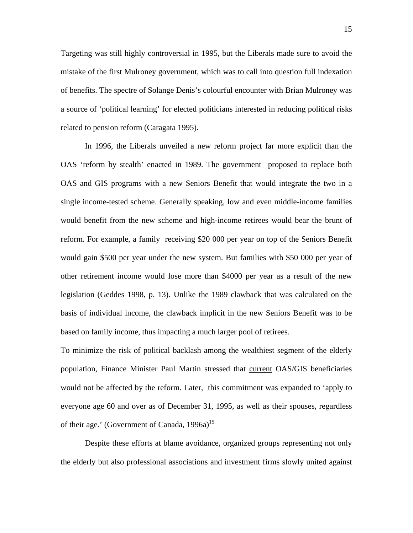Targeting was still highly controversial in 1995, but the Liberals made sure to avoid the mistake of the first Mulroney government, which was to call into question full indexation of benefits. The spectre of Solange Denis's colourful encounter with Brian Mulroney was a source of 'political learning' for elected politicians interested in reducing political risks related to pension reform (Caragata 1995).

 In 1996, the Liberals unveiled a new reform project far more explicit than the OAS 'reform by stealth' enacted in 1989. The government proposed to replace both OAS and GIS programs with a new Seniors Benefit that would integrate the two in a single income-tested scheme. Generally speaking, low and even middle-income families would benefit from the new scheme and high-income retirees would bear the brunt of reform. For example, a family receiving \$20 000 per year on top of the Seniors Benefit would gain \$500 per year under the new system. But families with \$50 000 per year of other retirement income would lose more than \$4000 per year as a result of the new legislation (Geddes 1998, p. 13). Unlike the 1989 clawback that was calculated on the basis of individual income, the clawback implicit in the new Seniors Benefit was to be based on family income, thus impacting a much larger pool of retirees.

To minimize the risk of political backlash among the wealthiest segment of the elderly population, Finance Minister Paul Martin stressed that current OAS/GIS beneficiaries would not be affected by the reform. Later, this commitment was expanded to 'apply to everyone age 60 and over as of December 31, 1995, as well as their spouses, regardless of their age.' (Government of Canada,  $1996a$ )<sup>15</sup>

 Despite these efforts at blame avoidance, organized groups representing not only the elderly but also professional associations and investment firms slowly united against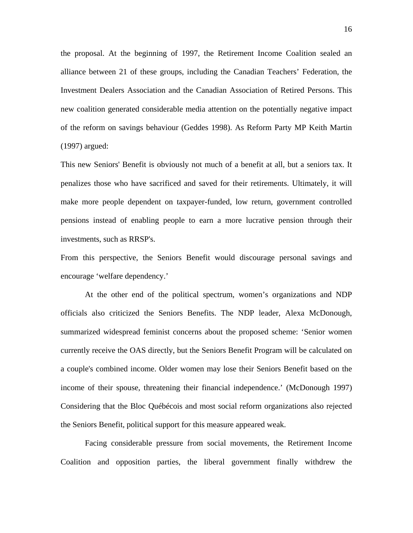the proposal. At the beginning of 1997, the Retirement Income Coalition sealed an alliance between 21 of these groups, including the Canadian Teachers' Federation, the Investment Dealers Association and the Canadian Association of Retired Persons. This new coalition generated considerable media attention on the potentially negative impact of the reform on savings behaviour (Geddes 1998). As Reform Party MP Keith Martin (1997) argued:

This new Seniors' Benefit is obviously not much of a benefit at all, but a seniors tax. It penalizes those who have sacrificed and saved for their retirements. Ultimately, it will make more people dependent on taxpayer-funded, low return, government controlled pensions instead of enabling people to earn a more lucrative pension through their investments, such as RRSP's.

From this perspective, the Seniors Benefit would discourage personal savings and encourage 'welfare dependency.'

At the other end of the political spectrum, women's organizations and NDP officials also criticized the Seniors Benefits. The NDP leader, Alexa McDonough, summarized widespread feminist concerns about the proposed scheme: 'Senior women currently receive the OAS directly, but the Seniors Benefit Program will be calculated on a couple's combined income. Older women may lose their Seniors Benefit based on the income of their spouse, threatening their financial independence.' (McDonough 1997) Considering that the Bloc Québécois and most social reform organizations also rejected the Seniors Benefit, political support for this measure appeared weak.

 Facing considerable pressure from social movements, the Retirement Income Coalition and opposition parties, the liberal government finally withdrew the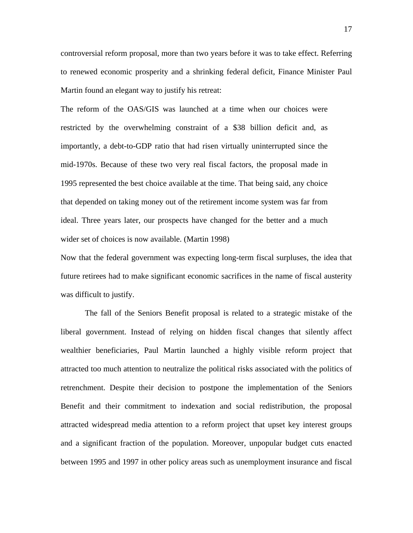controversial reform proposal, more than two years before it was to take effect. Referring to renewed economic prosperity and a shrinking federal deficit, Finance Minister Paul Martin found an elegant way to justify his retreat:

The reform of the OAS/GIS was launched at a time when our choices were restricted by the overwhelming constraint of a \$38 billion deficit and, as importantly, a debt-to-GDP ratio that had risen virtually uninterrupted since the mid-1970s. Because of these two very real fiscal factors, the proposal made in 1995 represented the best choice available at the time. That being said, any choice that depended on taking money out of the retirement income system was far from ideal. Three years later, our prospects have changed for the better and a much wider set of choices is now available. (Martin 1998)

Now that the federal government was expecting long-term fiscal surpluses, the idea that future retirees had to make significant economic sacrifices in the name of fiscal austerity was difficult to justify.

 The fall of the Seniors Benefit proposal is related to a strategic mistake of the liberal government. Instead of relying on hidden fiscal changes that silently affect wealthier beneficiaries, Paul Martin launched a highly visible reform project that attracted too much attention to neutralize the political risks associated with the politics of retrenchment. Despite their decision to postpone the implementation of the Seniors Benefit and their commitment to indexation and social redistribution, the proposal attracted widespread media attention to a reform project that upset key interest groups and a significant fraction of the population. Moreover, unpopular budget cuts enacted between 1995 and 1997 in other policy areas such as unemployment insurance and fiscal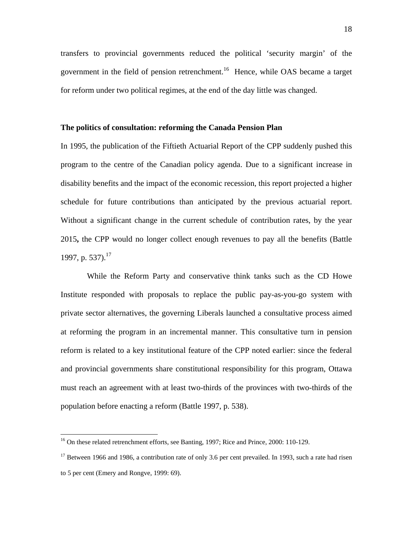transfers to provincial governments reduced the political 'security margin' of the government in the field of pension retrenchment.<sup>16</sup> Hence, while OAS became a target for reform under two political regimes, at the end of the day little was changed.

#### **The politics of consultation: reforming the Canada Pension Plan**

In 1995, the publication of the Fiftieth Actuarial Report of the CPP suddenly pushed this program to the centre of the Canadian policy agenda. Due to a significant increase in disability benefits and the impact of the economic recession, this report projected a higher schedule for future contributions than anticipated by the previous actuarial report. Without a significant change in the current schedule of contribution rates, by the year 2015**,** the CPP would no longer collect enough revenues to pay all the benefits (Battle 1997, p. 537).<sup>17</sup>

 While the Reform Party and conservative think tanks such as the CD Howe Institute responded with proposals to replace the public pay-as-you-go system with private sector alternatives, the governing Liberals launched a consultative process aimed at reforming the program in an incremental manner. This consultative turn in pension reform is related to a key institutional feature of the CPP noted earlier: since the federal and provincial governments share constitutional responsibility for this program, Ottawa must reach an agreement with at least two-thirds of the provinces with two-thirds of the population before enacting a reform (Battle 1997, p. 538).

 $\overline{a}$ 

<sup>&</sup>lt;sup>16</sup> On these related retrenchment efforts, see Banting, 1997; Rice and Prince, 2000: 110-129.

 $17$  Between 1966 and 1986, a contribution rate of only 3.6 per cent prevailed. In 1993, such a rate had risen to 5 per cent (Emery and Rongve, 1999: 69).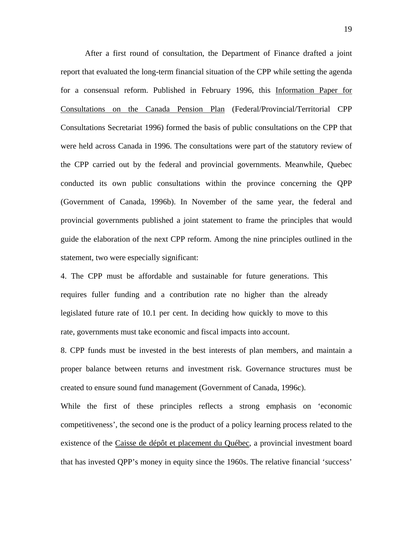After a first round of consultation, the Department of Finance drafted a joint report that evaluated the long-term financial situation of the CPP while setting the agenda for a consensual reform. Published in February 1996, this Information Paper for Consultations on the Canada Pension Plan (Federal/Provincial/Territorial CPP Consultations Secretariat 1996) formed the basis of public consultations on the CPP that were held across Canada in 1996. The consultations were part of the statutory review of the CPP carried out by the federal and provincial governments. Meanwhile, Quebec conducted its own public consultations within the province concerning the QPP (Government of Canada, 1996b). In November of the same year, the federal and provincial governments published a joint statement to frame the principles that would guide the elaboration of the next CPP reform. Among the nine principles outlined in the statement, two were especially significant:

4. The CPP must be affordable and sustainable for future generations. This requires fuller funding and a contribution rate no higher than the already legislated future rate of 10.1 per cent. In deciding how quickly to move to this rate, governments must take economic and fiscal impacts into account.

8. CPP funds must be invested in the best interests of plan members, and maintain a proper balance between returns and investment risk. Governance structures must be created to ensure sound fund management (Government of Canada, 1996c).

While the first of these principles reflects a strong emphasis on 'economic competitiveness', the second one is the product of a policy learning process related to the existence of the Caisse de dépôt et placement du Québec, a provincial investment board that has invested QPP's money in equity since the 1960s. The relative financial 'success'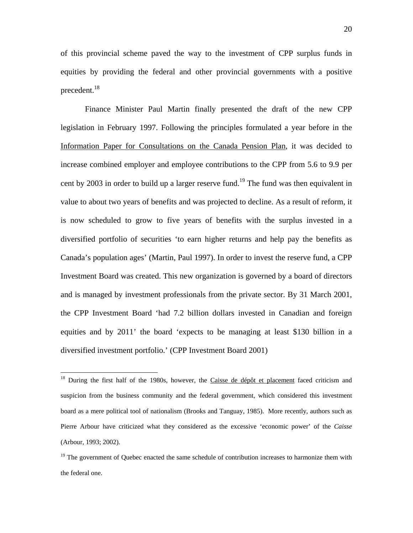of this provincial scheme paved the way to the investment of CPP surplus funds in equities by providing the federal and other provincial governments with a positive precedent.<sup>18</sup>

 Finance Minister Paul Martin finally presented the draft of the new CPP legislation in February 1997. Following the principles formulated a year before in the Information Paper for Consultations on the Canada Pension Plan, it was decided to increase combined employer and employee contributions to the CPP from 5.6 to 9.9 per cent by 2003 in order to build up a larger reserve fund.<sup>19</sup> The fund was then equivalent in value to about two years of benefits and was projected to decline. As a result of reform, it is now scheduled to grow to five years of benefits with the surplus invested in a diversified portfolio of securities 'to earn higher returns and help pay the benefits as Canada's population ages' (Martin, Paul 1997). In order to invest the reserve fund, a CPP Investment Board was created. This new organization is governed by a board of directors and is managed by investment professionals from the private sector. By 31 March 2001, the CPP Investment Board 'had 7.2 billion dollars invested in Canadian and foreign equities and by 2011' the board 'expects to be managing at least \$130 billion in a diversified investment portfolio.' (CPP Investment Board 2001)

 $\overline{a}$ 

<sup>&</sup>lt;sup>18</sup> During the first half of the 1980s, however, the Caisse de dépôt et placement faced criticism and suspicion from the business community and the federal government, which considered this investment board as a mere political tool of nationalism (Brooks and Tanguay, 1985). More recently, authors such as Pierre Arbour have criticized what they considered as the excessive 'economic power' of the *Caisse* (Arbour, 1993; 2002).

 $19$  The government of Quebec enacted the same schedule of contribution increases to harmonize them with the federal one.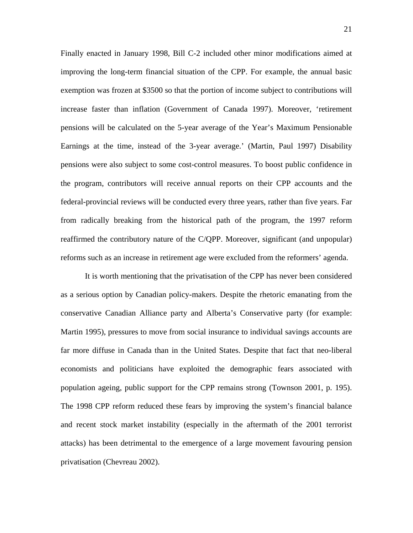Finally enacted in January 1998, Bill C-2 included other minor modifications aimed at improving the long-term financial situation of the CPP. For example, the annual basic exemption was frozen at \$3500 so that the portion of income subject to contributions will increase faster than inflation (Government of Canada 1997). Moreover, 'retirement pensions will be calculated on the 5-year average of the Year's Maximum Pensionable Earnings at the time, instead of the 3-year average.' (Martin, Paul 1997) Disability pensions were also subject to some cost-control measures. To boost public confidence in the program, contributors will receive annual reports on their CPP accounts and the federal-provincial reviews will be conducted every three years, rather than five years. Far from radically breaking from the historical path of the program, the 1997 reform reaffirmed the contributory nature of the C/QPP. Moreover, significant (and unpopular) reforms such as an increase in retirement age were excluded from the reformers' agenda.

 It is worth mentioning that the privatisation of the CPP has never been considered as a serious option by Canadian policy-makers. Despite the rhetoric emanating from the conservative Canadian Alliance party and Alberta's Conservative party (for example: Martin 1995), pressures to move from social insurance to individual savings accounts are far more diffuse in Canada than in the United States. Despite that fact that neo-liberal economists and politicians have exploited the demographic fears associated with population ageing, public support for the CPP remains strong (Townson 2001, p. 195). The 1998 CPP reform reduced these fears by improving the system's financial balance and recent stock market instability (especially in the aftermath of the 2001 terrorist attacks) has been detrimental to the emergence of a large movement favouring pension privatisation (Chevreau 2002).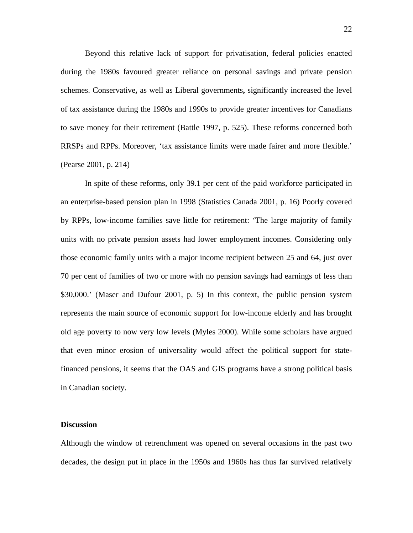Beyond this relative lack of support for privatisation, federal policies enacted during the 1980s favoured greater reliance on personal savings and private pension schemes. Conservative**,** as well as Liberal governments**,** significantly increased the level of tax assistance during the 1980s and 1990s to provide greater incentives for Canadians to save money for their retirement (Battle 1997, p. 525). These reforms concerned both RRSPs and RPPs. Moreover, 'tax assistance limits were made fairer and more flexible.' (Pearse 2001, p. 214)

 In spite of these reforms, only 39.1 per cent of the paid workforce participated in an enterprise-based pension plan in 1998 (Statistics Canada 2001, p. 16) Poorly covered by RPPs, low-income families save little for retirement: 'The large majority of family units with no private pension assets had lower employment incomes. Considering only those economic family units with a major income recipient between 25 and 64, just over 70 per cent of families of two or more with no pension savings had earnings of less than \$30,000.' (Maser and Dufour 2001, p. 5) In this context, the public pension system represents the main source of economic support for low-income elderly and has brought old age poverty to now very low levels (Myles 2000). While some scholars have argued that even minor erosion of universality would affect the political support for statefinanced pensions, it seems that the OAS and GIS programs have a strong political basis in Canadian society.

#### **Discussion**

Although the window of retrenchment was opened on several occasions in the past two decades, the design put in place in the 1950s and 1960s has thus far survived relatively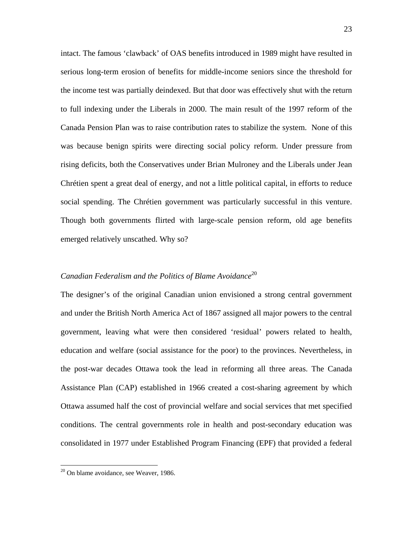intact. The famous 'clawback' of OAS benefits introduced in 1989 might have resulted in serious long-term erosion of benefits for middle-income seniors since the threshold for the income test was partially deindexed. But that door was effectively shut with the return to full indexing under the Liberals in 2000. The main result of the 1997 reform of the Canada Pension Plan was to raise contribution rates to stabilize the system. None of this was because benign spirits were directing social policy reform. Under pressure from rising deficits, both the Conservatives under Brian Mulroney and the Liberals under Jean Chrétien spent a great deal of energy, and not a little political capital, in efforts to reduce social spending. The Chrétien government was particularly successful in this venture. Though both governments flirted with large-scale pension reform, old age benefits emerged relatively unscathed. Why so?

# *Canadian Federalism and the Politics of Blame Avoidance*<sup>20</sup>

The designer's of the original Canadian union envisioned a strong central government and under the British North America Act of 1867 assigned all major powers to the central government, leaving what were then considered 'residual' powers related to health, education and welfare (social assistance for the poor) to the provinces. Nevertheless, in the post-war decades Ottawa took the lead in reforming all three areas. The Canada Assistance Plan (CAP) established in 1966 created a cost-sharing agreement by which Ottawa assumed half the cost of provincial welfare and social services that met specified conditions. The central governments role in health and post-secondary education was consolidated in 1977 under Established Program Financing (EPF) that provided a federal

 $\overline{a}$ 

 $20$  On blame avoidance, see Weaver, 1986.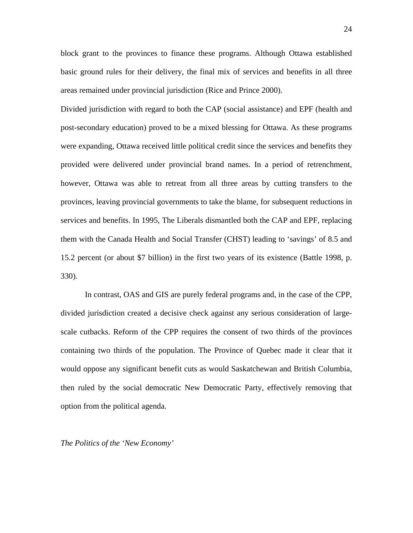block grant to the provinces to finance these programs. Although Ottawa established basic ground rules for their delivery, the final mix of services and benefits in all three areas remained under provincial jurisdiction (Rice and Prince 2000).

Divided jurisdiction with regard to both the CAP (social assistance) and EPF (health and post-secondary education) proved to be a mixed blessing for Ottawa. As these programs were expanding, Ottawa received little political credit since the services and benefits they provided were delivered under provincial brand names. In a period of retrenchment, however, Ottawa was able to retreat from all three areas by cutting transfers to the provinces, leaving provincial governments to take the blame, for subsequent reductions in services and benefits. In 1995, The Liberals dismantled both the CAP and EPF, replacing them with the Canada Health and Social Transfer (CHST) leading to 'savings' of 8.5 and 15.2 percent (or about \$7 billion) in the first two years of its existence (Battle 1998, p. 330).

In contrast, OAS and GIS are purely federal programs and, in the case of the CPP, divided jurisdiction created a decisive check against any serious consideration of largescale cutbacks. Reform of the CPP requires the consent of two thirds of the provinces containing two thirds of the population. The Province of Quebec made it clear that it would oppose any significant benefit cuts as would Saskatchewan and British Columbia, then ruled by the social democratic New Democratic Party, effectively removing that option from the political agenda.

*The Politics of the 'New Economy'*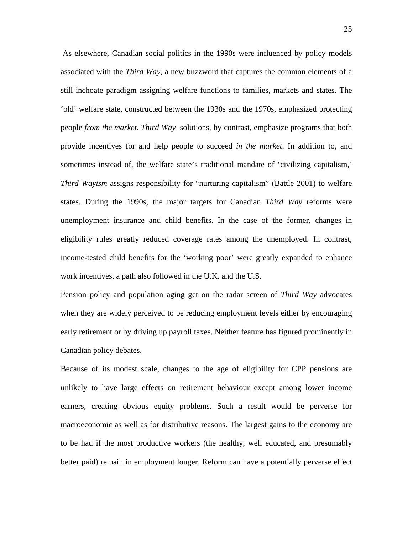As elsewhere, Canadian social politics in the 1990s were influenced by policy models associated with the *Third Way,* a new buzzword that captures the common elements of a still inchoate paradigm assigning welfare functions to families, markets and states. The 'old' welfare state, constructed between the 1930s and the 1970s, emphasized protecting people *from the market. Third Way* solutions, by contrast, emphasize programs that both provide incentives for and help people to succeed *in the market*. In addition to, and sometimes instead of, the welfare state's traditional mandate of 'civilizing capitalism,' *Third Wayism* assigns responsibility for "nurturing capitalism" (Battle 2001) to welfare states. During the 1990s, the major targets for Canadian *Third Way* reforms were unemployment insurance and child benefits. In the case of the former, changes in eligibility rules greatly reduced coverage rates among the unemployed. In contrast, income-tested child benefits for the 'working poor' were greatly expanded to enhance work incentives, a path also followed in the U.K. and the U.S.

Pension policy and population aging get on the radar screen of *Third Way* advocates when they are widely perceived to be reducing employment levels either by encouraging early retirement or by driving up payroll taxes. Neither feature has figured prominently in Canadian policy debates.

Because of its modest scale, changes to the age of eligibility for CPP pensions are unlikely to have large effects on retirement behaviour except among lower income earners, creating obvious equity problems. Such a result would be perverse for macroeconomic as well as for distributive reasons. The largest gains to the economy are to be had if the most productive workers (the healthy, well educated, and presumably better paid) remain in employment longer. Reform can have a potentially perverse effect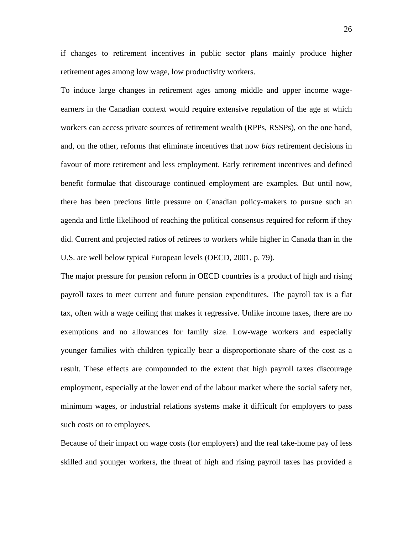if changes to retirement incentives in public sector plans mainly produce higher retirement ages among low wage, low productivity workers.

To induce large changes in retirement ages among middle and upper income wageearners in the Canadian context would require extensive regulation of the age at which workers can access private sources of retirement wealth (RPPs, RSSPs), on the one hand, and, on the other, reforms that eliminate incentives that now *bias* retirement decisions in favour of more retirement and less employment. Early retirement incentives and defined benefit formulae that discourage continued employment are examples. But until now, there has been precious little pressure on Canadian policy-makers to pursue such an agenda and little likelihood of reaching the political consensus required for reform if they did. Current and projected ratios of retirees to workers while higher in Canada than in the U.S. are well below typical European levels (OECD, 2001, p. 79).

The major pressure for pension reform in OECD countries is a product of high and rising payroll taxes to meet current and future pension expenditures. The payroll tax is a flat tax, often with a wage ceiling that makes it regressive. Unlike income taxes, there are no exemptions and no allowances for family size. Low-wage workers and especially younger families with children typically bear a disproportionate share of the cost as a result. These effects are compounded to the extent that high payroll taxes discourage employment, especially at the lower end of the labour market where the social safety net, minimum wages, or industrial relations systems make it difficult for employers to pass such costs on to employees.

Because of their impact on wage costs (for employers) and the real take-home pay of less skilled and younger workers, the threat of high and rising payroll taxes has provided a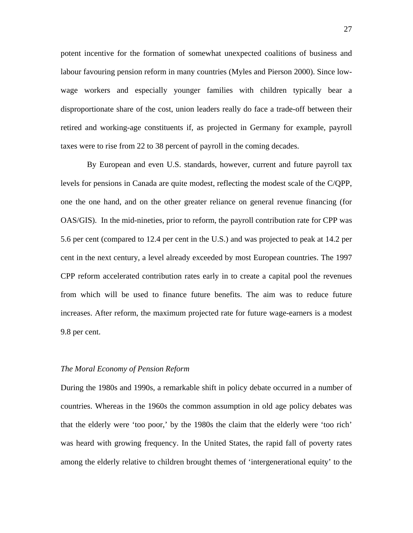potent incentive for the formation of somewhat unexpected coalitions of business and labour favouring pension reform in many countries (Myles and Pierson 2000). Since lowwage workers and especially younger families with children typically bear a disproportionate share of the cost, union leaders really do face a trade-off between their retired and working-age constituents if, as projected in Germany for example, payroll taxes were to rise from 22 to 38 percent of payroll in the coming decades.

 By European and even U.S. standards, however, current and future payroll tax levels for pensions in Canada are quite modest, reflecting the modest scale of the C/QPP, one the one hand, and on the other greater reliance on general revenue financing (for OAS/GIS). In the mid-nineties, prior to reform, the payroll contribution rate for CPP was 5.6 per cent (compared to 12.4 per cent in the U.S.) and was projected to peak at 14.2 per cent in the next century, a level already exceeded by most European countries. The 1997 CPP reform accelerated contribution rates early in to create a capital pool the revenues from which will be used to finance future benefits. The aim was to reduce future increases. After reform, the maximum projected rate for future wage-earners is a modest 9.8 per cent.

#### *The Moral Economy of Pension Reform*

During the 1980s and 1990s, a remarkable shift in policy debate occurred in a number of countries. Whereas in the 1960s the common assumption in old age policy debates was that the elderly were 'too poor,' by the 1980s the claim that the elderly were 'too rich' was heard with growing frequency. In the United States, the rapid fall of poverty rates among the elderly relative to children brought themes of 'intergenerational equity' to the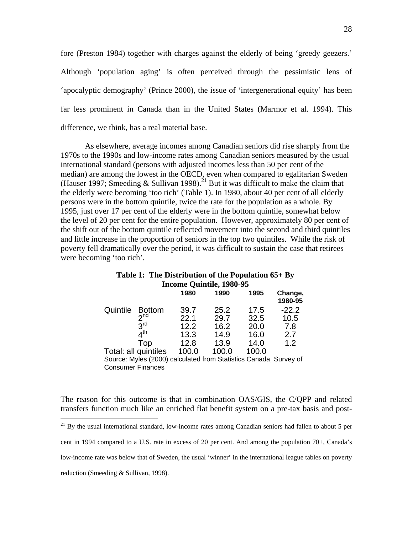fore (Preston 1984) together with charges against the elderly of being 'greedy geezers.' Although 'population aging' is often perceived through the pessimistic lens of 'apocalyptic demography' (Prince 2000), the issue of 'intergenerational equity' has been far less prominent in Canada than in the United States (Marmor et al. 1994). This difference, we think, has a real material base.

 As elsewhere, average incomes among Canadian seniors did rise sharply from the 1970s to the 1990s and low-income rates among Canadian seniors measured by the usual international standard (persons with adjusted incomes less than 50 per cent of the median) are among the lowest in the OECD, even when compared to egalitarian Sweden (Hauser 1997; Smeeding & Sullivan 1998).<sup>21</sup> But it was difficult to make the claim that the elderly were becoming 'too rich' (Table 1). In 1980, about 40 per cent of all elderly persons were in the bottom quintile, twice the rate for the population as a whole. By 1995, just over 17 per cent of the elderly were in the bottom quintile, somewhat below the level of 20 per cent for the entire population. However, approximately 80 per cent of the shift out of the bottom quintile reflected movement into the second and third quintiles and little increase in the proportion of seniors in the top two quintiles. While the risk of poverty fell dramatically over the period, it was difficult to sustain the case that retirees were becoming 'too rich'.

|                          | Table 1: The Distribution of the Population $65+By$ |      |      |                    |
|--------------------------|-----------------------------------------------------|------|------|--------------------|
| Income Quintile, 1980-95 |                                                     |      |      |                    |
|                          | 1980                                                | 1990 | 1995 | Change.<br>1980-95 |

|          |                                                                   |       |       |       | 1980-95 |
|----------|-------------------------------------------------------------------|-------|-------|-------|---------|
| Quintile | <b>Bottom</b>                                                     | 39.7  | 25.2  | 17.5  | $-22.2$ |
|          | 2 <sup>nd</sup>                                                   | 22.1  | 29.7  | 32.5  | 10.5    |
|          | $3^{\text{rd}}$                                                   | 12.2  | 16.2  | 20.0  | 7.8     |
|          | $4^{\sf th}$                                                      | 13.3  | 14.9  | 16.0  | 2.7     |
|          | Top                                                               | 12.8  | 13.9  | 14.0  | 1.2     |
|          | Total: all quintiles                                              | 100.0 | 100.0 | 100.0 |         |
|          | Source: Myles (2000) calculated from Statistics Canada, Survey of |       |       |       |         |
|          | <b>Consumer Finances</b>                                          |       |       |       |         |

The reason for this outcome is that in combination OAS/GIS, the C/QPP and related transfers function much like an enriched flat benefit system on a pre-tax basis and post-

 $21$  By the usual international standard, low-income rates among Canadian seniors had fallen to about 5 per

cent in 1994 compared to a U.S. rate in excess of 20 per cent. And among the population 70+, Canada's

low-income rate was below that of Sweden, the usual 'winner' in the international league tables on poverty

reduction (Smeeding & Sullivan, 1998).

 $\overline{a}$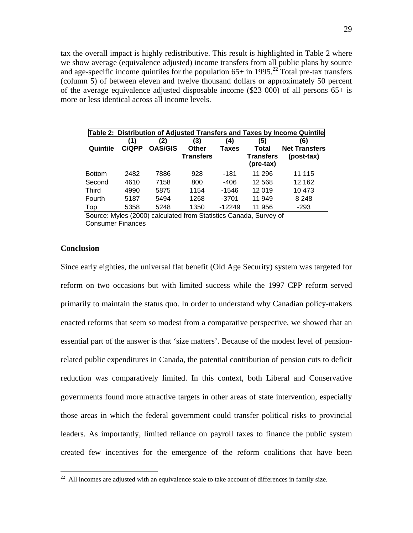tax the overall impact is highly redistributive. This result is highlighted in Table 2 where we show average (equivalence adjusted) income transfers from all public plans by source and age-specific income quintiles for the population  $65+$  in 1995.<sup>22</sup> Total pre-tax transfers (column 5) of between eleven and twelve thousand dollars or approximately 50 percent of the average equivalence adjusted disposable income (\$23 000) of all persons  $65+$  is more or less identical across all income levels.

| Table 2: Distribution of Adjusted Transfers and Taxes by Income Quintile |              |                       |                  |                     |                               |                             |
|--------------------------------------------------------------------------|--------------|-----------------------|------------------|---------------------|-------------------------------|-----------------------------|
| Quintile                                                                 | (1)<br>C/QPP | (2)<br><b>OAS/GIS</b> | (3)<br>Other     | (4)<br><b>Taxes</b> | (5)<br>Total                  | (6)<br><b>Net Transfers</b> |
|                                                                          |              |                       | <b>Transfers</b> |                     | <b>Transfers</b><br>(pre-tax) | (post-tax)                  |
| <b>Bottom</b>                                                            | 2482         | 7886                  | 928              | $-181$              | 11 296                        | 11 115                      |
| Second                                                                   | 4610         | 7158                  | 800              | $-406$              | 12 5 68                       | 12 162                      |
| <b>Third</b>                                                             | 4990         | 5875                  | 1154             | $-1546$             | 12 019                        | 10 473                      |
| Fourth                                                                   | 5187         | 5494                  | 1268             | $-3701$             | 11 949                        | 8 2 4 8                     |
| Top                                                                      | 5358         | 5248                  | 1350             | $-12249$            | 11 956                        | $-293$                      |

Source: Myles (2000) calculated from Statistics Canada, Survey of Consumer Finances

#### **Conclusion**

 $\overline{a}$ 

Since early eighties, the universal flat benefit (Old Age Security) system was targeted for reform on two occasions but with limited success while the 1997 CPP reform served primarily to maintain the status quo. In order to understand why Canadian policy-makers enacted reforms that seem so modest from a comparative perspective, we showed that an essential part of the answer is that 'size matters'. Because of the modest level of pensionrelated public expenditures in Canada, the potential contribution of pension cuts to deficit reduction was comparatively limited. In this context, both Liberal and Conservative governments found more attractive targets in other areas of state intervention, especially those areas in which the federal government could transfer political risks to provincial leaders. As importantly, limited reliance on payroll taxes to finance the public system created few incentives for the emergence of the reform coalitions that have been

 $22$  All incomes are adjusted with an equivalence scale to take account of differences in family size.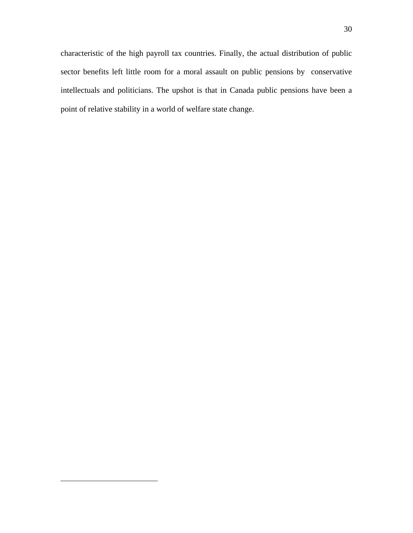characteristic of the high payroll tax countries. Finally, the actual distribution of public sector benefits left little room for a moral assault on public pensions by conservative intellectuals and politicians. The upshot is that in Canada public pensions have been a point of relative stability in a world of welfare state change.

1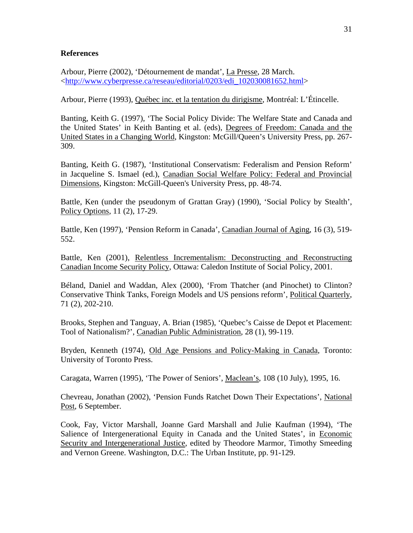#### **References**

Arbour, Pierre (2002), 'Détournement de mandat', La Presse, 28 March. <http://www.cyberpresse.ca/reseau/editorial/0203/edi\_102030081652.html>

Arbour, Pierre (1993), Québec inc. et la tentation du dirigisme, Montréal: L'Étincelle.

Banting, Keith G. (1997), 'The Social Policy Divide: The Welfare State and Canada and the United States' in Keith Banting et al. (eds), Degrees of Freedom: Canada and the United States in a Changing World, Kingston: McGill/Queen's University Press, pp. 267- 309.

Banting, Keith G. (1987), 'Institutional Conservatism: Federalism and Pension Reform' in Jacqueline S. Ismael (ed.), Canadian Social Welfare Policy: Federal and Provincial Dimensions, Kingston: McGill-Queen's University Press, pp. 48-74.

Battle, Ken (under the pseudonym of Grattan Gray) (1990), 'Social Policy by Stealth', Policy Options, 11 (2), 17-29.

Battle, Ken (1997), 'Pension Reform in Canada', Canadian Journal of Aging, 16 (3), 519- 552.

Battle, Ken (2001), Relentless Incrementalism: Deconstructing and Reconstructing Canadian Income Security Policy, Ottawa: Caledon Institute of Social Policy, 2001.

Béland, Daniel and Waddan, Alex (2000), 'From Thatcher (and Pinochet) to Clinton? Conservative Think Tanks, Foreign Models and US pensions reform', Political Quarterly, 71 (2), 202-210.

Brooks, Stephen and Tanguay, A. Brian (1985), 'Quebec's Caisse de Depot et Placement: Tool of Nationalism?', Canadian Public Administration, 28 (1), 99-119.

Bryden, Kenneth (1974), Old Age Pensions and Policy-Making in Canada, Toronto: University of Toronto Press.

Caragata, Warren (1995), 'The Power of Seniors', Maclean's, 108 (10 July), 1995, 16.

Chevreau, Jonathan (2002), 'Pension Funds Ratchet Down Their Expectations', National Post, 6 September.

Cook, Fay, Victor Marshall, Joanne Gard Marshall and Julie Kaufman (1994), 'The Salience of Intergenerational Equity in Canada and the United States', in Economic Security and Intergenerational Justice, edited by Theodore Marmor, Timothy Smeeding and Vernon Greene. Washington, D.C.: The Urban Institute, pp. 91-129.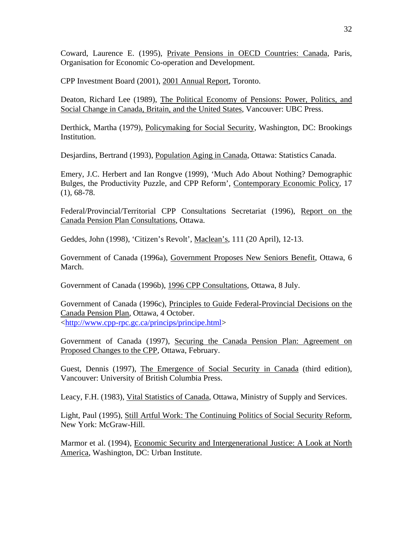Coward, Laurence E. (1995), Private Pensions in OECD Countries: Canada, Paris, Organisation for Economic Co-operation and Development.

CPP Investment Board (2001), 2001 Annual Report, Toronto.

Deaton, Richard Lee (1989), The Political Economy of Pensions: Power, Politics, and Social Change in Canada, Britain, and the United States, Vancouver: UBC Press.

Derthick, Martha (1979), Policymaking for Social Security, Washington, DC: Brookings Institution.

Desjardins, Bertrand (1993), Population Aging in Canada, Ottawa: Statistics Canada.

Emery, J.C. Herbert and Ian Rongve (1999), 'Much Ado About Nothing? Demographic Bulges, the Productivity Puzzle, and CPP Reform', Contemporary Economic Policy, 17  $(1), 68-78.$ 

Federal/Provincial/Territorial CPP Consultations Secretariat (1996), Report on the Canada Pension Plan Consultations, Ottawa.

Geddes, John (1998), 'Citizen's Revolt', Maclean's, 111 (20 April), 12-13.

Government of Canada (1996a), Government Proposes New Seniors Benefit, Ottawa, 6 March.

Government of Canada (1996b), 1996 CPP Consultations, Ottawa, 8 July.

Government of Canada (1996c), Principles to Guide Federal-Provincial Decisions on the Canada Pension Plan, Ottawa, 4 October. <http://www.cpp-rpc.gc.ca/princips/principe.html>

Government of Canada (1997), Securing the Canada Pension Plan: Agreement on Proposed Changes to the CPP, Ottawa, February.

Guest, Dennis (1997), The Emergence of Social Security in Canada (third edition), Vancouver: University of British Columbia Press.

Leacy, F.H. (1983), Vital Statistics of Canada, Ottawa, Ministry of Supply and Services.

Light, Paul (1995), Still Artful Work: The Continuing Politics of Social Security Reform, New York: McGraw-Hill.

Marmor et al. (1994), Economic Security and Intergenerational Justice: A Look at North America, Washington, DC: Urban Institute.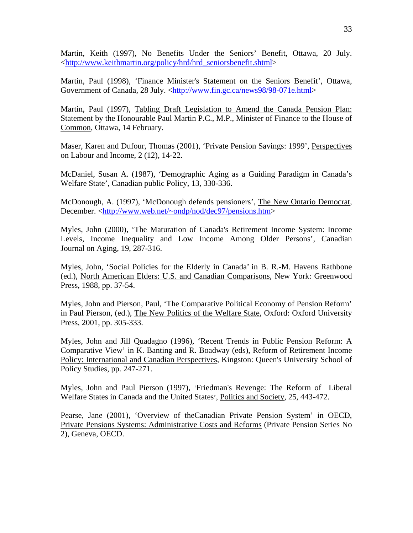Martin, Keith (1997), No Benefits Under the Seniors' Benefit, Ottawa, 20 July. <http://www.keithmartin.org/policy/hrd/hrd\_seniorsbenefit.shtml>

Martin, Paul (1998), 'Finance Minister's Statement on the Seniors Benefit', Ottawa, Government of Canada, 28 July. <http://www.fin.gc.ca/news98/98-071e.html>

Martin, Paul (1997), Tabling Draft Legislation to Amend the Canada Pension Plan: Statement by the Honourable Paul Martin P.C., M.P., Minister of Finance to the House of Common, Ottawa, 14 February.

Maser, Karen and Dufour, Thomas (2001), 'Private Pension Savings: 1999', Perspectives on Labour and Income, 2 (12), 14-22.

McDaniel, Susan A. (1987), 'Demographic Aging as a Guiding Paradigm in Canada's Welfare State', Canadian public Policy, 13, 330-336.

McDonough, A. (1997), 'McDonough defends pensioners', The New Ontario Democrat, December. <http://www.web.net/~ondp/nod/dec97/pensions.htm>

Myles, John (2000), 'The Maturation of Canada's Retirement Income System: Income Levels, Income Inequality and Low Income Among Older Persons', Canadian Journal on Aging, 19, 287-316.

Myles, John, 'Social Policies for the Elderly in Canada' in B. R.-M. Havens Rathbone (ed.), North American Elders: U.S. and Canadian Comparisons, New York: Greenwood Press, 1988, pp. 37-54.

Myles, John and Pierson, Paul, 'The Comparative Political Economy of Pension Reform' in Paul Pierson, (ed.), The New Politics of the Welfare State, Oxford: Oxford University Press, 2001, pp. 305-333.

Myles, John and Jill Quadagno (1996), 'Recent Trends in Public Pension Reform: A Comparative View' in K. Banting and R. Boadway (eds), Reform of Retirement Income Policy: International and Canadian Perspectives, Kingston: Queen's University School of Policy Studies, pp. 247-271.

Myles, John and Paul Pierson (1997), 'Friedman's Revenge: The Reform of Liberal Welfare States in Canada and the United States', Politics and Society, 25, 443-472.

Pearse, Jane (2001), 'Overview of theCanadian Private Pension System' in OECD, Private Pensions Systems: Administrative Costs and Reforms (Private Pension Series No 2), Geneva, OECD.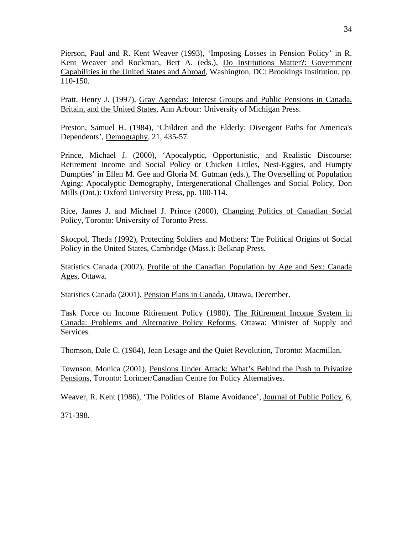Pierson, Paul and R. Kent Weaver (1993), 'Imposing Losses in Pension Policy' in R. Kent Weaver and Rockman, Bert A. (eds.), Do Institutions Matter?: Government Capabilities in the United States and Abroad, Washington, DC: Brookings Institution, pp. 110-150.

Pratt, Henry J. (1997), Gray Agendas: Interest Groups and Public Pensions in Canada, Britain, and the United States, Ann Arbour: University of Michigan Press.

Preston, Samuel H. (1984), 'Children and the Elderly: Divergent Paths for America's Dependents', Demography, 21, 435-57.

Prince, Michael J. (2000), 'Apocalyptic, Opportunistic, and Realistic Discourse: Retirement Income and Social Policy or Chicken Littles, Nest-Eggies, and Humpty Dumpties' in Ellen M. Gee and Gloria M. Gutman (eds.), The Overselling of Population Aging: Apocalyptic Demography, Intergenerational Challenges and Social Policy, Don Mills (Ont.): Oxford University Press, pp. 100-114.

Rice, James J. and Michael J. Prince (2000), Changing Politics of Canadian Social Policy, Toronto: University of Toronto Press.

Skocpol, Theda (1992), Protecting Soldiers and Mothers: The Political Origins of Social Policy in the United States, Cambridge (Mass.): Belknap Press.

Statistics Canada (2002), Profile of the Canadian Population by Age and Sex: Canada Ages, Ottawa.

Statistics Canada (2001), Pension Plans in Canada, Ottawa, December.

Task Force on Income Ritirement Policy (1980), The Ritirement Income System in Canada: Problems and Alternative Policy Reforms, Ottawa: Minister of Supply and Services.

Thomson, Dale C. (1984), Jean Lesage and the Quiet Revolution, Toronto: Macmillan.

Townson, Monica (2001), Pensions Under Attack: What's Behind the Push to Privatize Pensions, Toronto: Lorimer/Canadian Centre for Policy Alternatives.

Weaver, R. Kent (1986), 'The Politics of Blame Avoidance', Journal of Public Policy, 6,

371-398.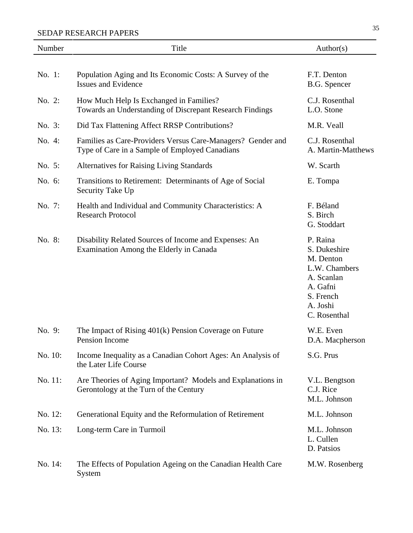| Number  | Title                                                                                                         | Author(s)                                                                                                                 |
|---------|---------------------------------------------------------------------------------------------------------------|---------------------------------------------------------------------------------------------------------------------------|
| No. 1:  | Population Aging and Its Economic Costs: A Survey of the                                                      | F.T. Denton                                                                                                               |
|         | <b>Issues and Evidence</b>                                                                                    | B.G. Spencer                                                                                                              |
| No. 2:  | How Much Help Is Exchanged in Families?<br>Towards an Understanding of Discrepant Research Findings           | C.J. Rosenthal<br>L.O. Stone                                                                                              |
| No. 3:  | Did Tax Flattening Affect RRSP Contributions?                                                                 | M.R. Veall                                                                                                                |
| No. 4:  | Families as Care-Providers Versus Care-Managers? Gender and<br>Type of Care in a Sample of Employed Canadians | C.J. Rosenthal<br>A. Martin-Matthews                                                                                      |
| No. 5:  | <b>Alternatives for Raising Living Standards</b>                                                              | W. Scarth                                                                                                                 |
| No. 6:  | Transitions to Retirement: Determinants of Age of Social<br>Security Take Up                                  | E. Tompa                                                                                                                  |
| No. 7:  | Health and Individual and Community Characteristics: A<br><b>Research Protocol</b>                            | F. Béland<br>S. Birch<br>G. Stoddart                                                                                      |
| No. 8:  | Disability Related Sources of Income and Expenses: An<br>Examination Among the Elderly in Canada              | P. Raina<br>S. Dukeshire<br>M. Denton<br>L.W. Chambers<br>A. Scanlan<br>A. Gafni<br>S. French<br>A. Joshi<br>C. Rosenthal |
| No. 9:  | The Impact of Rising 401(k) Pension Coverage on Future<br>Pension Income                                      | W.E. Even<br>D.A. Macpherson                                                                                              |
| No. 10: | Income Inequality as a Canadian Cohort Ages: An Analysis of<br>the Later Life Course                          | S.G. Prus                                                                                                                 |
| No. 11: | Are Theories of Aging Important? Models and Explanations in<br>Gerontology at the Turn of the Century         | V.L. Bengtson<br>C.J. Rice<br>M.L. Johnson                                                                                |
| No. 12: | Generational Equity and the Reformulation of Retirement                                                       | M.L. Johnson                                                                                                              |
| No. 13: | Long-term Care in Turmoil                                                                                     | M.L. Johnson<br>L. Cullen<br>D. Patsios                                                                                   |
| No. 14: | The Effects of Population Ageing on the Canadian Health Care<br>System                                        | M.W. Rosenberg                                                                                                            |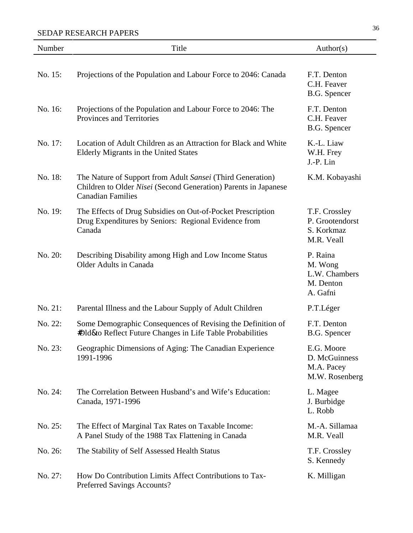| Number  | Title                                                                                                                                                     | Author(s)                                                     |
|---------|-----------------------------------------------------------------------------------------------------------------------------------------------------------|---------------------------------------------------------------|
| No. 15: | Projections of the Population and Labour Force to 2046: Canada                                                                                            | F.T. Denton<br>C.H. Feaver<br>B.G. Spencer                    |
| No. 16: | Projections of the Population and Labour Force to 2046: The<br>Provinces and Territories                                                                  | F.T. Denton<br>C.H. Feaver<br>B.G. Spencer                    |
| No. 17: | Location of Adult Children as an Attraction for Black and White<br>Elderly Migrants in the United States                                                  | K.-L. Liaw<br>W.H. Frey<br>J.-P. Lin                          |
| No. 18: | The Nature of Support from Adult Sansei (Third Generation)<br>Children to Older Nisei (Second Generation) Parents in Japanese<br><b>Canadian Families</b> | K.M. Kobayashi                                                |
| No. 19: | The Effects of Drug Subsidies on Out-of-Pocket Prescription<br>Drug Expenditures by Seniors: Regional Evidence from<br>Canada                             | T.F. Crossley<br>P. Grootendorst<br>S. Korkmaz<br>M.R. Veall  |
| No. 20: | Describing Disability among High and Low Income Status<br><b>Older Adults in Canada</b>                                                                   | P. Raina<br>M. Wong<br>L.W. Chambers<br>M. Denton<br>A. Gafni |
| No. 21: | Parental Illness and the Labour Supply of Adult Children                                                                                                  | P.T.Léger                                                     |
| No. 22: | Some Demographic Consequences of Revising the Definition of<br><b>#Dld&amp;o</b> Reflect Future Changes in Life Table Probabilities                       | F.T. Denton<br>B.G. Spencer                                   |
| No. 23: | Geographic Dimensions of Aging: The Canadian Experience<br>1991-1996                                                                                      | E.G. Moore<br>D. McGuinness<br>M.A. Pacey<br>M.W. Rosenberg   |
| No. 24: | The Correlation Between Husband's and Wife's Education:<br>Canada, 1971-1996                                                                              | L. Magee<br>J. Burbidge<br>L. Robb                            |
| No. 25: | The Effect of Marginal Tax Rates on Taxable Income:<br>A Panel Study of the 1988 Tax Flattening in Canada                                                 | M.-A. Sillamaa<br>M.R. Veall                                  |
| No. 26: | The Stability of Self Assessed Health Status                                                                                                              | T.F. Crossley<br>S. Kennedy                                   |
| No. 27: | How Do Contribution Limits Affect Contributions to Tax-<br>Preferred Savings Accounts?                                                                    | K. Milligan                                                   |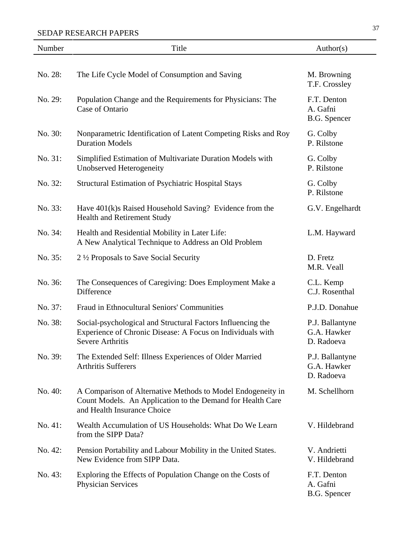| Number  | Title                                                                                                                                                    | Author(s)                                    |
|---------|----------------------------------------------------------------------------------------------------------------------------------------------------------|----------------------------------------------|
|         |                                                                                                                                                          |                                              |
| No. 28: | The Life Cycle Model of Consumption and Saving                                                                                                           | M. Browning<br>T.F. Crossley                 |
| No. 29: | Population Change and the Requirements for Physicians: The<br>Case of Ontario                                                                            | F.T. Denton<br>A. Gafni<br>B.G. Spencer      |
| No. 30: | Nonparametric Identification of Latent Competing Risks and Roy<br><b>Duration Models</b>                                                                 | G. Colby<br>P. Rilstone                      |
| No. 31: | Simplified Estimation of Multivariate Duration Models with<br>Unobserved Heterogeneity                                                                   | G. Colby<br>P. Rilstone                      |
| No. 32: | <b>Structural Estimation of Psychiatric Hospital Stays</b>                                                                                               | G. Colby<br>P. Rilstone                      |
| No. 33: | Have 401(k)s Raised Household Saving? Evidence from the<br><b>Health and Retirement Study</b>                                                            | G.V. Engelhardt                              |
| No. 34: | Health and Residential Mobility in Later Life:<br>A New Analytical Technique to Address an Old Problem                                                   | L.M. Hayward                                 |
| No. 35: | 2 ½ Proposals to Save Social Security                                                                                                                    | D. Fretz<br>M.R. Veall                       |
| No. 36: | The Consequences of Caregiving: Does Employment Make a<br>Difference                                                                                     | C.L. Kemp<br>C.J. Rosenthal                  |
| No. 37: | Fraud in Ethnocultural Seniors' Communities                                                                                                              | P.J.D. Donahue                               |
| No. 38: | Social-psychological and Structural Factors Influencing the<br>Experience of Chronic Disease: A Focus on Individuals with<br>Severe Arthritis            | P.J. Ballantyne<br>G.A. Hawker<br>D. Radoeva |
| No. 39: | The Extended Self: Illness Experiences of Older Married<br><b>Arthritis Sufferers</b>                                                                    | P.J. Ballantyne<br>G.A. Hawker<br>D. Radoeva |
| No. 40: | A Comparison of Alternative Methods to Model Endogeneity in<br>Count Models. An Application to the Demand for Health Care<br>and Health Insurance Choice | M. Schellhorn                                |
| No. 41: | Wealth Accumulation of US Households: What Do We Learn<br>from the SIPP Data?                                                                            | V. Hildebrand                                |
| No. 42: | Pension Portability and Labour Mobility in the United States.<br>New Evidence from SIPP Data.                                                            | V. Andrietti<br>V. Hildebrand                |
| No. 43: | Exploring the Effects of Population Change on the Costs of<br><b>Physician Services</b>                                                                  | F.T. Denton<br>A. Gafni<br>B.G. Spencer      |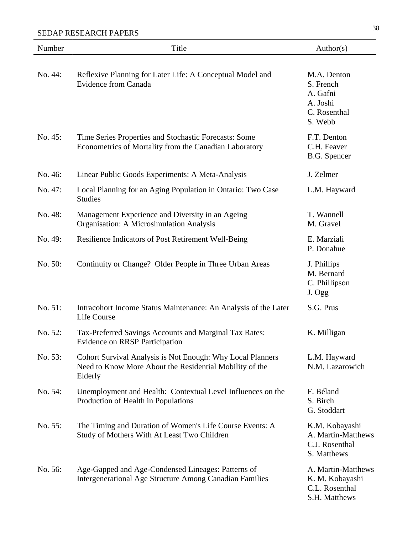| Number  | Title                                                                                                                            | Author(s)                                                                   |
|---------|----------------------------------------------------------------------------------------------------------------------------------|-----------------------------------------------------------------------------|
| No. 44: | Reflexive Planning for Later Life: A Conceptual Model and<br><b>Evidence from Canada</b>                                         | M.A. Denton<br>S. French<br>A. Gafni<br>A. Joshi<br>C. Rosenthal<br>S. Webb |
| No. 45: | Time Series Properties and Stochastic Forecasts: Some<br>Econometrics of Mortality from the Canadian Laboratory                  | F.T. Denton<br>C.H. Feaver<br>B.G. Spencer                                  |
| No. 46: | Linear Public Goods Experiments: A Meta-Analysis                                                                                 | J. Zelmer                                                                   |
| No. 47: | Local Planning for an Aging Population in Ontario: Two Case<br><b>Studies</b>                                                    | L.M. Hayward                                                                |
| No. 48: | Management Experience and Diversity in an Ageing<br>Organisation: A Microsimulation Analysis                                     | T. Wannell<br>M. Gravel                                                     |
| No. 49: | Resilience Indicators of Post Retirement Well-Being                                                                              | E. Marziali<br>P. Donahue                                                   |
| No. 50: | Continuity or Change? Older People in Three Urban Areas                                                                          | J. Phillips<br>M. Bernard<br>C. Phillipson<br>J. Ogg                        |
| No. 51: | Intracohort Income Status Maintenance: An Analysis of the Later<br>Life Course                                                   | S.G. Prus                                                                   |
| No. 52: | Tax-Preferred Savings Accounts and Marginal Tax Rates:<br><b>Evidence on RRSP Participation</b>                                  | K. Milligan                                                                 |
| No. 53: | Cohort Survival Analysis is Not Enough: Why Local Planners<br>Need to Know More About the Residential Mobility of the<br>Elderly | L.M. Hayward<br>N.M. Lazarowich                                             |
| No. 54: | Unemployment and Health: Contextual Level Influences on the<br>Production of Health in Populations                               | F. Béland<br>S. Birch<br>G. Stoddart                                        |
| No. 55: | The Timing and Duration of Women's Life Course Events: A<br>Study of Mothers With At Least Two Children                          | K.M. Kobayashi<br>A. Martin-Matthews<br>C.J. Rosenthal<br>S. Matthews       |
| No. 56: | Age-Gapped and Age-Condensed Lineages: Patterns of<br>Intergenerational Age Structure Among Canadian Families                    | A. Martin-Matthews<br>K. M. Kobayashi<br>C.L. Rosenthal<br>S.H. Matthews    |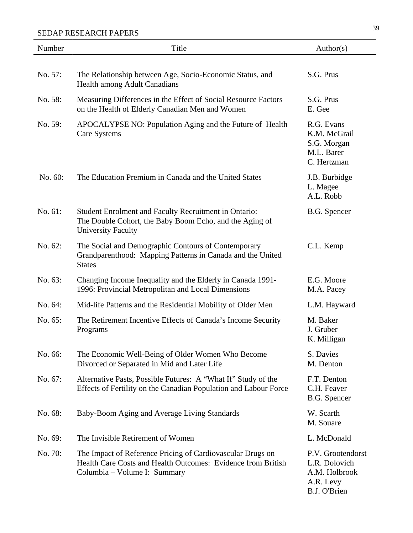| Number  | Title                                                                                                                                                      | Author(s)                                                                        |
|---------|------------------------------------------------------------------------------------------------------------------------------------------------------------|----------------------------------------------------------------------------------|
|         |                                                                                                                                                            |                                                                                  |
| No. 57: | The Relationship between Age, Socio-Economic Status, and<br>Health among Adult Canadians                                                                   | S.G. Prus                                                                        |
| No. 58: | Measuring Differences in the Effect of Social Resource Factors<br>on the Health of Elderly Canadian Men and Women                                          | S.G. Prus<br>E. Gee                                                              |
| No. 59: | APOCALYPSE NO: Population Aging and the Future of Health<br>Care Systems                                                                                   | R.G. Evans<br>K.M. McGrail<br>S.G. Morgan<br>M.L. Barer<br>C. Hertzman           |
| No. 60: | The Education Premium in Canada and the United States                                                                                                      | J.B. Burbidge<br>L. Magee<br>A.L. Robb                                           |
| No. 61: | Student Enrolment and Faculty Recruitment in Ontario:<br>The Double Cohort, the Baby Boom Echo, and the Aging of<br><b>University Faculty</b>              | B.G. Spencer                                                                     |
| No. 62: | The Social and Demographic Contours of Contemporary<br>Grandparenthood: Mapping Patterns in Canada and the United<br><b>States</b>                         | C.L. Kemp                                                                        |
| No. 63: | Changing Income Inequality and the Elderly in Canada 1991-<br>1996: Provincial Metropolitan and Local Dimensions                                           | E.G. Moore<br>M.A. Pacey                                                         |
| No. 64: | Mid-life Patterns and the Residential Mobility of Older Men                                                                                                | L.M. Hayward                                                                     |
| No. 65: | The Retirement Incentive Effects of Canada's Income Security<br>Programs                                                                                   | M. Baker<br>J. Gruber<br>K. Milligan                                             |
| No. 66: | The Economic Well-Being of Older Women Who Become<br>Divorced or Separated in Mid and Later Life                                                           | S. Davies<br>M. Denton                                                           |
| No. 67: | Alternative Pasts, Possible Futures: A "What If" Study of the<br>Effects of Fertility on the Canadian Population and Labour Force                          | F.T. Denton<br>C.H. Feaver<br>B.G. Spencer                                       |
| No. 68: | Baby-Boom Aging and Average Living Standards                                                                                                               | W. Scarth<br>M. Souare                                                           |
| No. 69: | The Invisible Retirement of Women                                                                                                                          | L. McDonald                                                                      |
| No. 70: | The Impact of Reference Pricing of Cardiovascular Drugs on<br>Health Care Costs and Health Outcomes: Evidence from British<br>Columbia – Volume I: Summary | P.V. Grootendorst<br>L.R. Dolovich<br>A.M. Holbrook<br>A.R. Levy<br>B.J. O'Brien |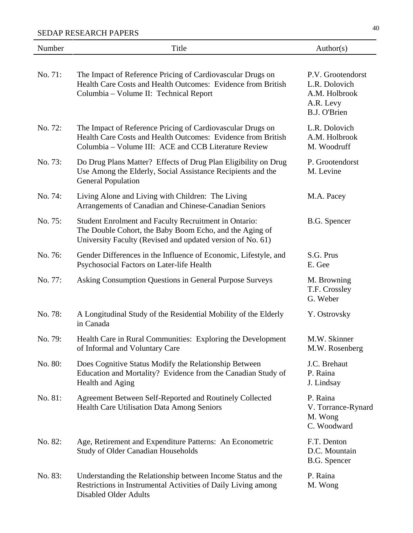| Number  | Title                                                                                                                                                                              | Author(s)                                                                        |
|---------|------------------------------------------------------------------------------------------------------------------------------------------------------------------------------------|----------------------------------------------------------------------------------|
| No. 71: | The Impact of Reference Pricing of Cardiovascular Drugs on<br>Health Care Costs and Health Outcomes: Evidence from British<br>Columbia - Volume II: Technical Report               | P.V. Grootendorst<br>L.R. Dolovich<br>A.M. Holbrook<br>A.R. Levy<br>B.J. O'Brien |
| No. 72: | The Impact of Reference Pricing of Cardiovascular Drugs on<br>Health Care Costs and Health Outcomes: Evidence from British<br>Columbia - Volume III: ACE and CCB Literature Review | L.R. Dolovich<br>A.M. Holbrook<br>M. Woodruff                                    |
| No. 73: | Do Drug Plans Matter? Effects of Drug Plan Eligibility on Drug<br>Use Among the Elderly, Social Assistance Recipients and the<br><b>General Population</b>                         | P. Grootendorst<br>M. Levine                                                     |
| No. 74: | Living Alone and Living with Children: The Living<br>Arrangements of Canadian and Chinese-Canadian Seniors                                                                         | M.A. Pacey                                                                       |
| No. 75: | Student Enrolment and Faculty Recruitment in Ontario:<br>The Double Cohort, the Baby Boom Echo, and the Aging of<br>University Faculty (Revised and updated version of No. 61)     | B.G. Spencer                                                                     |
| No. 76: | Gender Differences in the Influence of Economic, Lifestyle, and<br>Psychosocial Factors on Later-life Health                                                                       | S.G. Prus<br>E. Gee                                                              |
| No. 77: | Asking Consumption Questions in General Purpose Surveys                                                                                                                            | M. Browning<br>T.F. Crossley<br>G. Weber                                         |
| No. 78: | A Longitudinal Study of the Residential Mobility of the Elderly<br>in Canada                                                                                                       | Y. Ostrovsky                                                                     |
| No. 79: | Health Care in Rural Communities: Exploring the Development<br>of Informal and Voluntary Care                                                                                      | M.W. Skinner<br>M.W. Rosenberg                                                   |
| No. 80: | Does Cognitive Status Modify the Relationship Between<br>Education and Mortality? Evidence from the Canadian Study of<br>Health and Aging                                          | J.C. Brehaut<br>P. Raina<br>J. Lindsay                                           |
| No. 81: | Agreement Between Self-Reported and Routinely Collected<br>Health Care Utilisation Data Among Seniors                                                                              | P. Raina<br>V. Torrance-Rynard<br>M. Wong<br>C. Woodward                         |
| No. 82: | Age, Retirement and Expenditure Patterns: An Econometric<br><b>Study of Older Canadian Households</b>                                                                              | F.T. Denton<br>D.C. Mountain<br>B.G. Spencer                                     |
| No. 83: | Understanding the Relationship between Income Status and the<br>Restrictions in Instrumental Activities of Daily Living among<br><b>Disabled Older Adults</b>                      | P. Raina<br>M. Wong                                                              |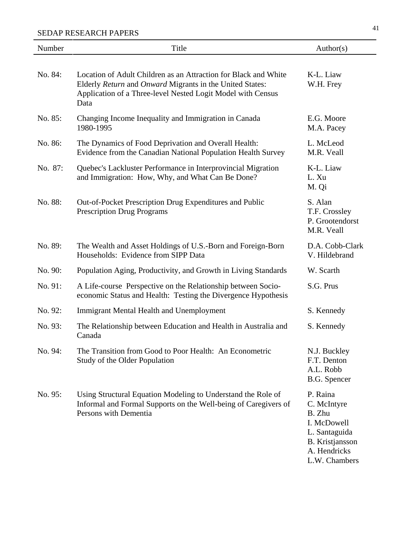| Number  | Title                                                                                                                                                                                              | Author(s)                                                                                                                    |
|---------|----------------------------------------------------------------------------------------------------------------------------------------------------------------------------------------------------|------------------------------------------------------------------------------------------------------------------------------|
| No. 84: | Location of Adult Children as an Attraction for Black and White<br>Elderly Return and Onward Migrants in the United States:<br>Application of a Three-level Nested Logit Model with Census<br>Data | K-L. Liaw<br>W.H. Frey                                                                                                       |
| No. 85: | Changing Income Inequality and Immigration in Canada<br>1980-1995                                                                                                                                  | E.G. Moore<br>M.A. Pacey                                                                                                     |
| No. 86: | The Dynamics of Food Deprivation and Overall Health:<br>Evidence from the Canadian National Population Health Survey                                                                               | L. McLeod<br>M.R. Veall                                                                                                      |
| No. 87: | Quebec's Lackluster Performance in Interprovincial Migration<br>and Immigration: How, Why, and What Can Be Done?                                                                                   | K-L. Liaw<br>L. Xu<br>M. Qi                                                                                                  |
| No. 88: | Out-of-Pocket Prescription Drug Expenditures and Public<br><b>Prescription Drug Programs</b>                                                                                                       | S. Alan<br>T.F. Crossley<br>P. Grootendorst<br>M.R. Veall                                                                    |
| No. 89: | The Wealth and Asset Holdings of U.S.-Born and Foreign-Born<br>Households: Evidence from SIPP Data                                                                                                 | D.A. Cobb-Clark<br>V. Hildebrand                                                                                             |
| No. 90: | Population Aging, Productivity, and Growth in Living Standards                                                                                                                                     | W. Scarth                                                                                                                    |
| No. 91: | A Life-course Perspective on the Relationship between Socio-<br>economic Status and Health: Testing the Divergence Hypothesis                                                                      | S.G. Prus                                                                                                                    |
| No. 92: | <b>Immigrant Mental Health and Unemployment</b>                                                                                                                                                    | S. Kennedy                                                                                                                   |
| No. 93: | The Relationship between Education and Health in Australia and<br>Canada                                                                                                                           | S. Kennedy                                                                                                                   |
| No. 94: | The Transition from Good to Poor Health: An Econometric<br>Study of the Older Population                                                                                                           | N.J. Buckley<br>F.T. Denton<br>A.L. Robb<br>B.G. Spencer                                                                     |
| No. 95: | Using Structural Equation Modeling to Understand the Role of<br>Informal and Formal Supports on the Well-being of Caregivers of<br>Persons with Dementia                                           | P. Raina<br>C. McIntyre<br>B. Zhu<br>I. McDowell<br>L. Santaguida<br><b>B.</b> Kristjansson<br>A. Hendricks<br>L.W. Chambers |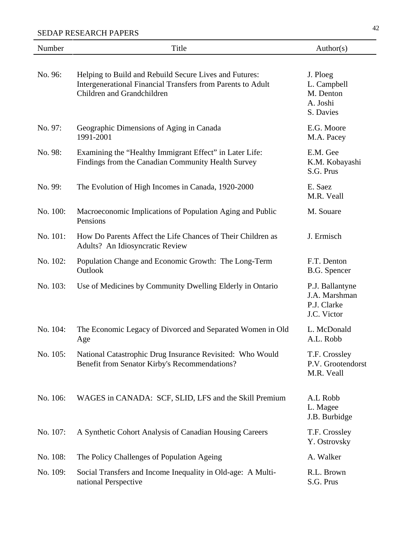| Number   | Title                                                                                                                                               | Author(s)                                                      |
|----------|-----------------------------------------------------------------------------------------------------------------------------------------------------|----------------------------------------------------------------|
| No. 96:  | Helping to Build and Rebuild Secure Lives and Futures:<br>Intergenerational Financial Transfers from Parents to Adult<br>Children and Grandchildren | J. Ploeg<br>L. Campbell<br>M. Denton<br>A. Joshi<br>S. Davies  |
| No. 97:  | Geographic Dimensions of Aging in Canada<br>1991-2001                                                                                               | E.G. Moore<br>M.A. Pacey                                       |
| No. 98:  | Examining the "Healthy Immigrant Effect" in Later Life:<br>Findings from the Canadian Community Health Survey                                       | E.M. Gee<br>K.M. Kobayashi<br>S.G. Prus                        |
| No. 99:  | The Evolution of High Incomes in Canada, 1920-2000                                                                                                  | E. Saez<br>M.R. Veall                                          |
| No. 100: | Macroeconomic Implications of Population Aging and Public<br>Pensions                                                                               | M. Souare                                                      |
| No. 101: | How Do Parents Affect the Life Chances of Their Children as<br>Adults? An Idiosyncratic Review                                                      | J. Ermisch                                                     |
| No. 102: | Population Change and Economic Growth: The Long-Term<br>Outlook                                                                                     | F.T. Denton<br>B.G. Spencer                                    |
| No. 103: | Use of Medicines by Community Dwelling Elderly in Ontario                                                                                           | P.J. Ballantyne<br>J.A. Marshman<br>P.J. Clarke<br>J.C. Victor |
| No. 104: | The Economic Legacy of Divorced and Separated Women in Old<br>Age                                                                                   | L. McDonald<br>A.L. Robb                                       |
| No. 105: | National Catastrophic Drug Insurance Revisited: Who Would<br>Benefit from Senator Kirby's Recommendations?                                          | T.F. Crossley<br>P.V. Grootendorst<br>M.R. Veall               |
| No. 106: | WAGES in CANADA: SCF, SLID, LFS and the Skill Premium                                                                                               | A.L Robb<br>L. Magee<br>J.B. Burbidge                          |
| No. 107: | A Synthetic Cohort Analysis of Canadian Housing Careers                                                                                             | T.F. Crossley<br>Y. Ostrovsky                                  |
| No. 108: | The Policy Challenges of Population Ageing                                                                                                          | A. Walker                                                      |
| No. 109: | Social Transfers and Income Inequality in Old-age: A Multi-<br>national Perspective                                                                 | R.L. Brown<br>S.G. Prus                                        |